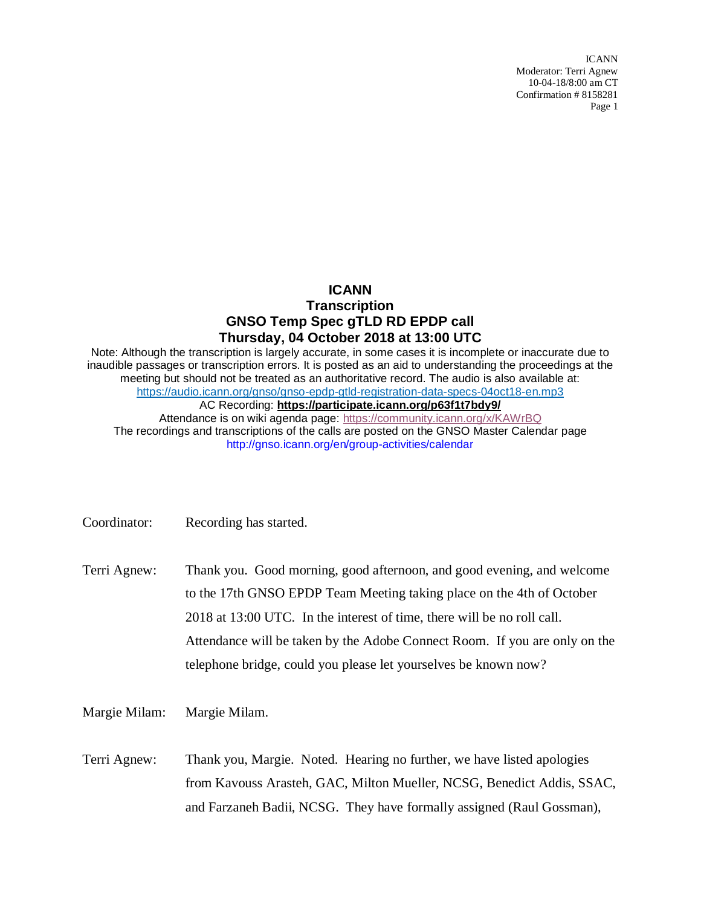ICANN Moderator: Terri Agnew 10-04-18/8:00 am CT Confirmation # 8158281 Page 1

## **ICANN Transcription GNSO Temp Spec gTLD RD EPDP call Thursday, 04 October 2018 at 13:00 UTC**

Note: Although the transcription is largely accurate, in some cases it is incomplete or inaccurate due to inaudible passages or transcription errors. It is posted as an aid to understanding the proceedings at the meeting but should not be treated as an authoritative record. The audio is also available at: [https://audio.icann.org/gnso/gnso-epdp-gtld-registration-data-specs-04oct18-en.mp3](https://urldefense.proofpoint.com/v2/url?u=https-3A__audio.icann.org_gnso_gnso-2Depdp-2Dgtld-2Dregistration-2Ddata-2Dspecs-2D04oct18-2Den.mp3&d=DwMFaQ&c=FmY1u3PJp6wrcrwll3mSVzgfkbPSS6sJms7xcl4I5cM&r=k7uKdjSb7_ZjItyVqrCYHo_rKms9SFxlmbYEJqG-y9I&m=b-k22vgoyNpcFADXLiTRZ03M9zvJZaNrBpCLL_iqMX0&s=OeaMPgSod-9Hjwz9IdRdzEpogb7-NaYB7wJj3GVHHkg&e=) AC Recording: **[https://participate.icann.org/p63f1t7bdy9/](https://participate.icann.org/p63f1t7bdy9/?OWASP_CSRFTOKEN=0d3562f1d64cdcdc27ce7c70878623a77754f79f566ead91aa6418eb5a135ac2)** Attendance is on wiki agenda page:<https://community.icann.org/x/KAWrBQ> The recordings and transcriptions of the calls are posted on the GNSO Master Calendar page

http://gnso.icann.org/en/group-activities/calendar

Terri Agnew: Thank you. Good morning, good afternoon, and good evening, and welcome to the 17th GNSO EPDP Team Meeting taking place on the 4th of October 2018 at 13:00 UTC. In the interest of time, there will be no roll call. Attendance will be taken by the Adobe Connect Room. If you are only on the telephone bridge, could you please let yourselves be known now?

Margie Milam: Margie Milam.

Terri Agnew: Thank you, Margie. Noted. Hearing no further, we have listed apologies from Kavouss Arasteh, GAC, Milton Mueller, NCSG, Benedict Addis, SSAC, and Farzaneh Badii, NCSG. They have formally assigned (Raul Gossman),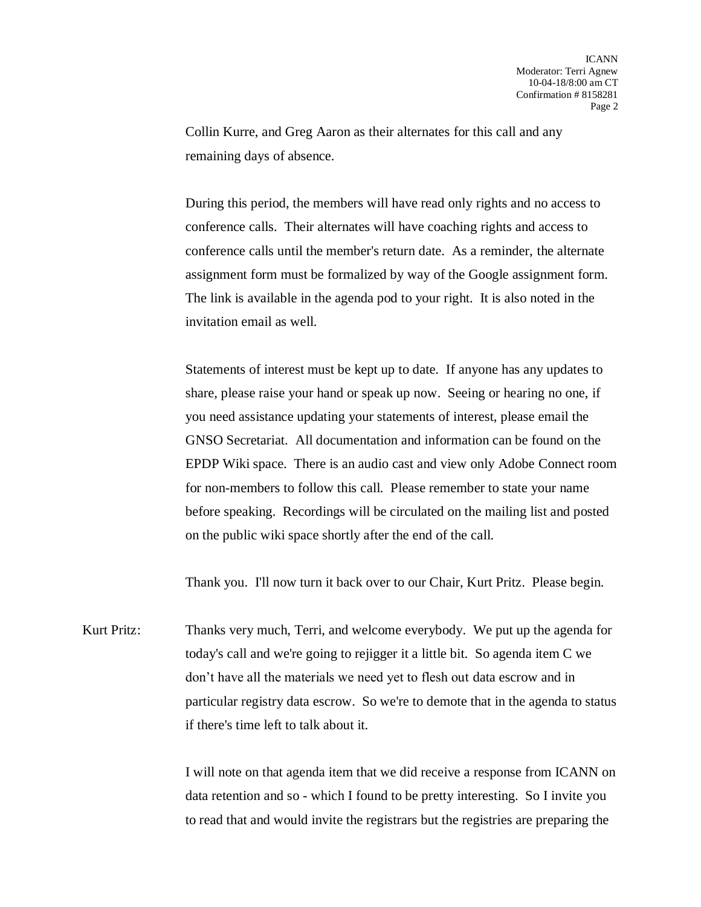Collin Kurre, and Greg Aaron as their alternates for this call and any remaining days of absence.

During this period, the members will have read only rights and no access to conference calls. Their alternates will have coaching rights and access to conference calls until the member's return date. As a reminder, the alternate assignment form must be formalized by way of the Google assignment form. The link is available in the agenda pod to your right. It is also noted in the invitation email as well.

Statements of interest must be kept up to date. If anyone has any updates to share, please raise your hand or speak up now. Seeing or hearing no one, if you need assistance updating your statements of interest, please email the GNSO Secretariat. All documentation and information can be found on the EPDP Wiki space. There is an audio cast and view only Adobe Connect room for non-members to follow this call. Please remember to state your name before speaking. Recordings will be circulated on the mailing list and posted on the public wiki space shortly after the end of the call.

Thank you. I'll now turn it back over to our Chair, Kurt Pritz. Please begin.

Kurt Pritz: Thanks very much, Terri, and welcome everybody. We put up the agenda for today's call and we're going to rejigger it a little bit. So agenda item C we don't have all the materials we need yet to flesh out data escrow and in particular registry data escrow. So we're to demote that in the agenda to status if there's time left to talk about it.

> I will note on that agenda item that we did receive a response from ICANN on data retention and so - which I found to be pretty interesting. So I invite you to read that and would invite the registrars but the registries are preparing the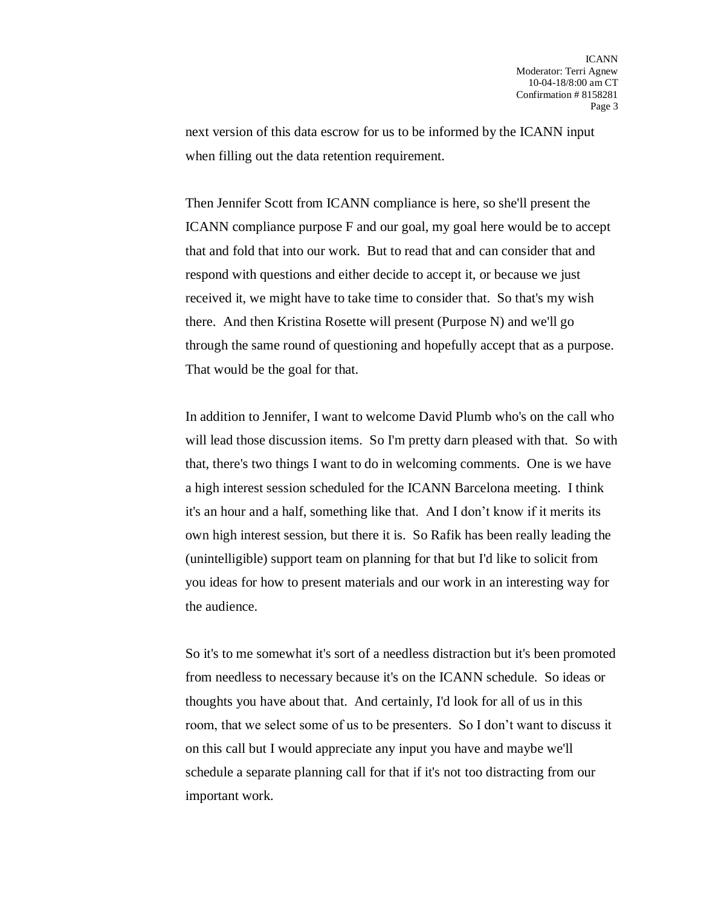next version of this data escrow for us to be informed by the ICANN input when filling out the data retention requirement.

Then Jennifer Scott from ICANN compliance is here, so she'll present the ICANN compliance purpose F and our goal, my goal here would be to accept that and fold that into our work. But to read that and can consider that and respond with questions and either decide to accept it, or because we just received it, we might have to take time to consider that. So that's my wish there. And then Kristina Rosette will present (Purpose N) and we'll go through the same round of questioning and hopefully accept that as a purpose. That would be the goal for that.

In addition to Jennifer, I want to welcome David Plumb who's on the call who will lead those discussion items. So I'm pretty darn pleased with that. So with that, there's two things I want to do in welcoming comments. One is we have a high interest session scheduled for the ICANN Barcelona meeting. I think it's an hour and a half, something like that. And I don't know if it merits its own high interest session, but there it is. So Rafik has been really leading the (unintelligible) support team on planning for that but I'd like to solicit from you ideas for how to present materials and our work in an interesting way for the audience.

So it's to me somewhat it's sort of a needless distraction but it's been promoted from needless to necessary because it's on the ICANN schedule. So ideas or thoughts you have about that. And certainly, I'd look for all of us in this room, that we select some of us to be presenters. So I don't want to discuss it on this call but I would appreciate any input you have and maybe we'll schedule a separate planning call for that if it's not too distracting from our important work.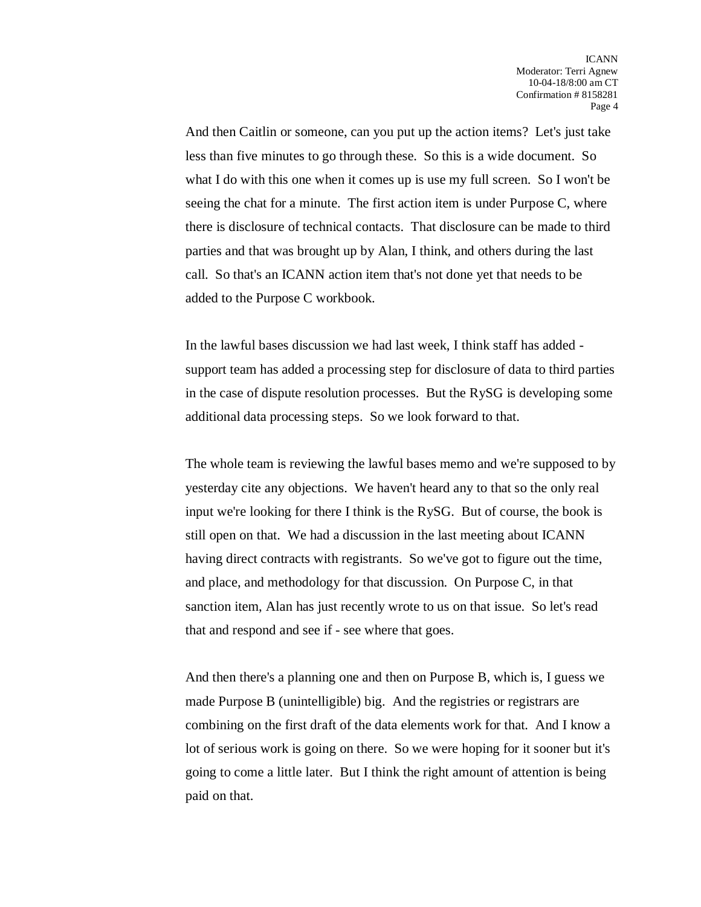And then Caitlin or someone, can you put up the action items? Let's just take less than five minutes to go through these. So this is a wide document. So what I do with this one when it comes up is use my full screen. So I won't be seeing the chat for a minute. The first action item is under Purpose C, where there is disclosure of technical contacts. That disclosure can be made to third parties and that was brought up by Alan, I think, and others during the last call. So that's an ICANN action item that's not done yet that needs to be added to the Purpose C workbook.

In the lawful bases discussion we had last week, I think staff has added support team has added a processing step for disclosure of data to third parties in the case of dispute resolution processes. But the RySG is developing some additional data processing steps. So we look forward to that.

The whole team is reviewing the lawful bases memo and we're supposed to by yesterday cite any objections. We haven't heard any to that so the only real input we're looking for there I think is the RySG. But of course, the book is still open on that. We had a discussion in the last meeting about ICANN having direct contracts with registrants. So we've got to figure out the time, and place, and methodology for that discussion. On Purpose C, in that sanction item, Alan has just recently wrote to us on that issue. So let's read that and respond and see if - see where that goes.

And then there's a planning one and then on Purpose B, which is, I guess we made Purpose B (unintelligible) big. And the registries or registrars are combining on the first draft of the data elements work for that. And I know a lot of serious work is going on there. So we were hoping for it sooner but it's going to come a little later. But I think the right amount of attention is being paid on that.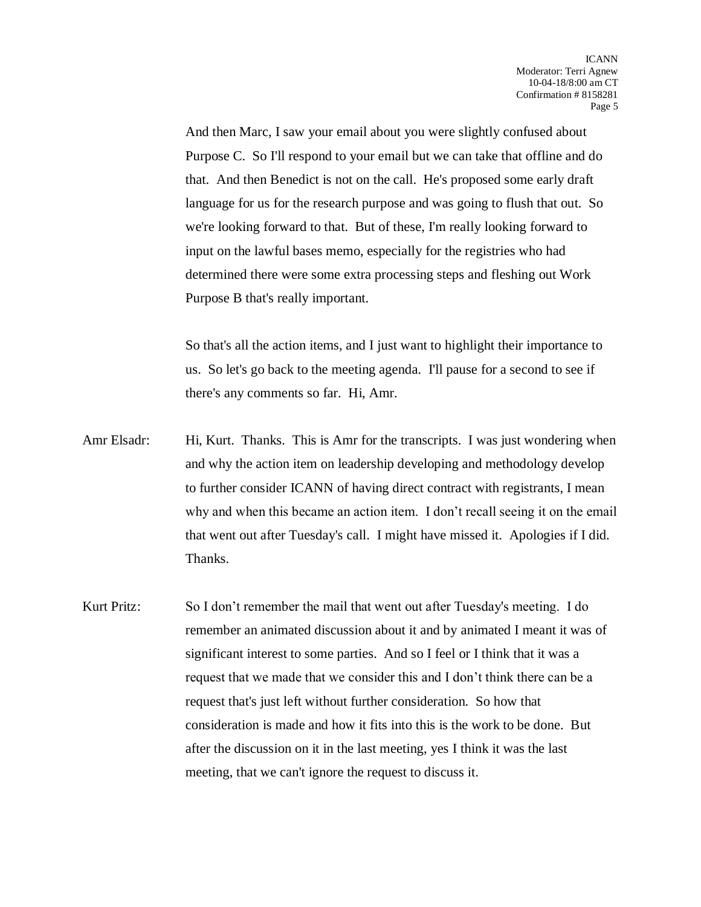And then Marc, I saw your email about you were slightly confused about Purpose C. So I'll respond to your email but we can take that offline and do that. And then Benedict is not on the call. He's proposed some early draft language for us for the research purpose and was going to flush that out. So we're looking forward to that. But of these, I'm really looking forward to input on the lawful bases memo, especially for the registries who had determined there were some extra processing steps and fleshing out Work Purpose B that's really important.

So that's all the action items, and I just want to highlight their importance to us. So let's go back to the meeting agenda. I'll pause for a second to see if there's any comments so far. Hi, Amr.

- Amr Elsadr: Hi, Kurt. Thanks. This is Amr for the transcripts. I was just wondering when and why the action item on leadership developing and methodology develop to further consider ICANN of having direct contract with registrants, I mean why and when this became an action item. I don't recall seeing it on the email that went out after Tuesday's call. I might have missed it. Apologies if I did. Thanks.
- Kurt Pritz: So I don't remember the mail that went out after Tuesday's meeting. I do remember an animated discussion about it and by animated I meant it was of significant interest to some parties. And so I feel or I think that it was a request that we made that we consider this and I don't think there can be a request that's just left without further consideration. So how that consideration is made and how it fits into this is the work to be done. But after the discussion on it in the last meeting, yes I think it was the last meeting, that we can't ignore the request to discuss it.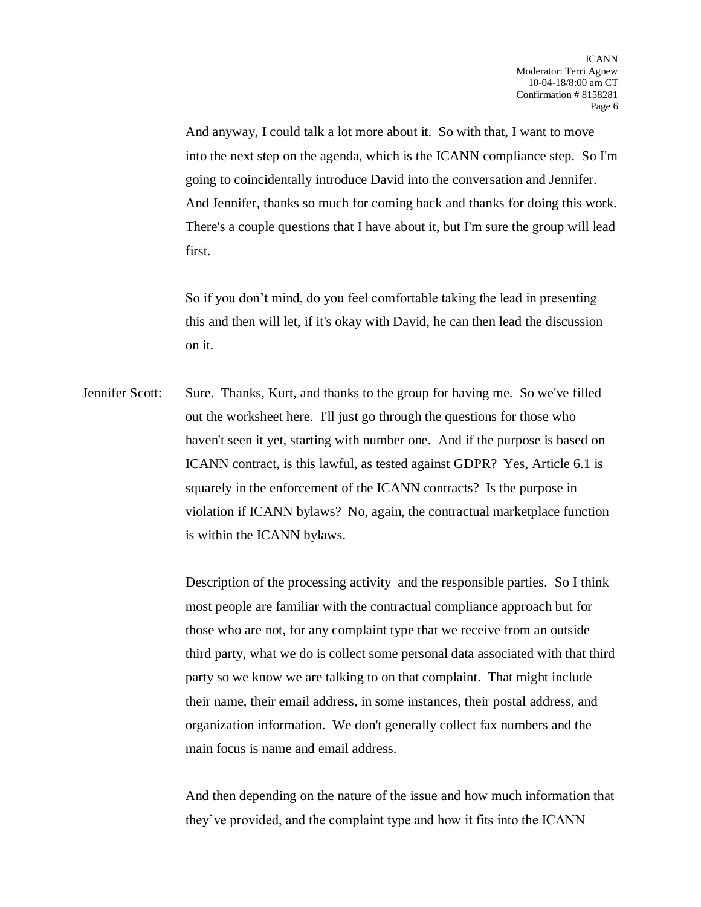And anyway, I could talk a lot more about it. So with that, I want to move into the next step on the agenda, which is the ICANN compliance step. So I'm going to coincidentally introduce David into the conversation and Jennifer. And Jennifer, thanks so much for coming back and thanks for doing this work. There's a couple questions that I have about it, but I'm sure the group will lead first.

So if you don't mind, do you feel comfortable taking the lead in presenting this and then will let, if it's okay with David, he can then lead the discussion on it.

Jennifer Scott: Sure. Thanks, Kurt, and thanks to the group for having me. So we've filled out the worksheet here. I'll just go through the questions for those who haven't seen it yet, starting with number one. And if the purpose is based on ICANN contract, is this lawful, as tested against GDPR? Yes, Article 6.1 is squarely in the enforcement of the ICANN contracts? Is the purpose in violation if ICANN bylaws? No, again, the contractual marketplace function is within the ICANN bylaws.

> Description of the processing activity and the responsible parties. So I think most people are familiar with the contractual compliance approach but for those who are not, for any complaint type that we receive from an outside third party, what we do is collect some personal data associated with that third party so we know we are talking to on that complaint. That might include their name, their email address, in some instances, their postal address, and organization information. We don't generally collect fax numbers and the main focus is name and email address.

> And then depending on the nature of the issue and how much information that they've provided, and the complaint type and how it fits into the ICANN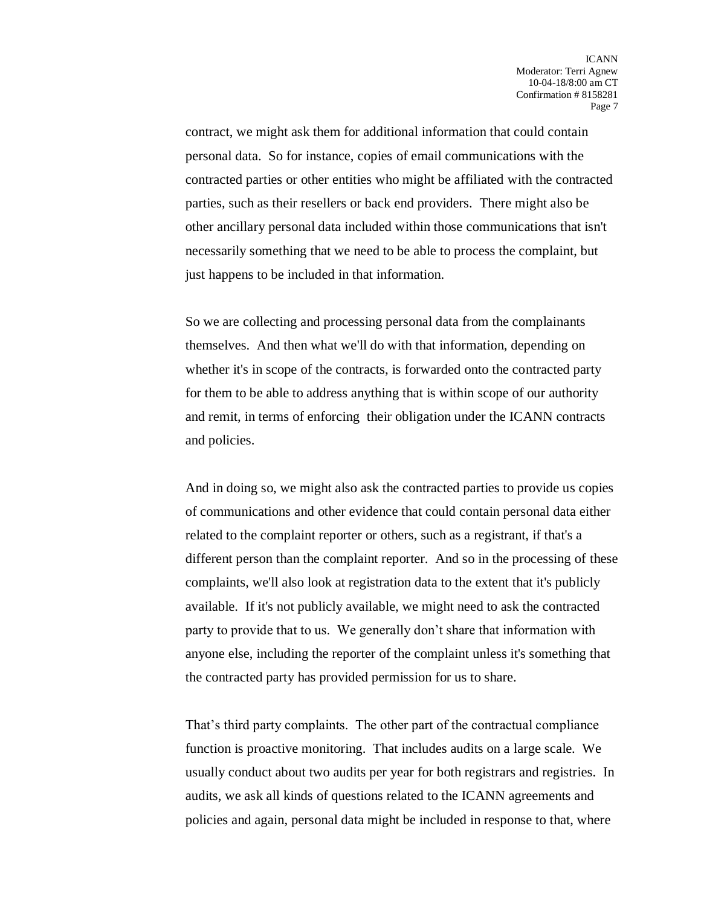contract, we might ask them for additional information that could contain personal data. So for instance, copies of email communications with the contracted parties or other entities who might be affiliated with the contracted parties, such as their resellers or back end providers. There might also be other ancillary personal data included within those communications that isn't necessarily something that we need to be able to process the complaint, but just happens to be included in that information.

So we are collecting and processing personal data from the complainants themselves. And then what we'll do with that information, depending on whether it's in scope of the contracts, is forwarded onto the contracted party for them to be able to address anything that is within scope of our authority and remit, in terms of enforcing their obligation under the ICANN contracts and policies.

And in doing so, we might also ask the contracted parties to provide us copies of communications and other evidence that could contain personal data either related to the complaint reporter or others, such as a registrant, if that's a different person than the complaint reporter. And so in the processing of these complaints, we'll also look at registration data to the extent that it's publicly available. If it's not publicly available, we might need to ask the contracted party to provide that to us. We generally don't share that information with anyone else, including the reporter of the complaint unless it's something that the contracted party has provided permission for us to share.

That's third party complaints. The other part of the contractual compliance function is proactive monitoring. That includes audits on a large scale. We usually conduct about two audits per year for both registrars and registries. In audits, we ask all kinds of questions related to the ICANN agreements and policies and again, personal data might be included in response to that, where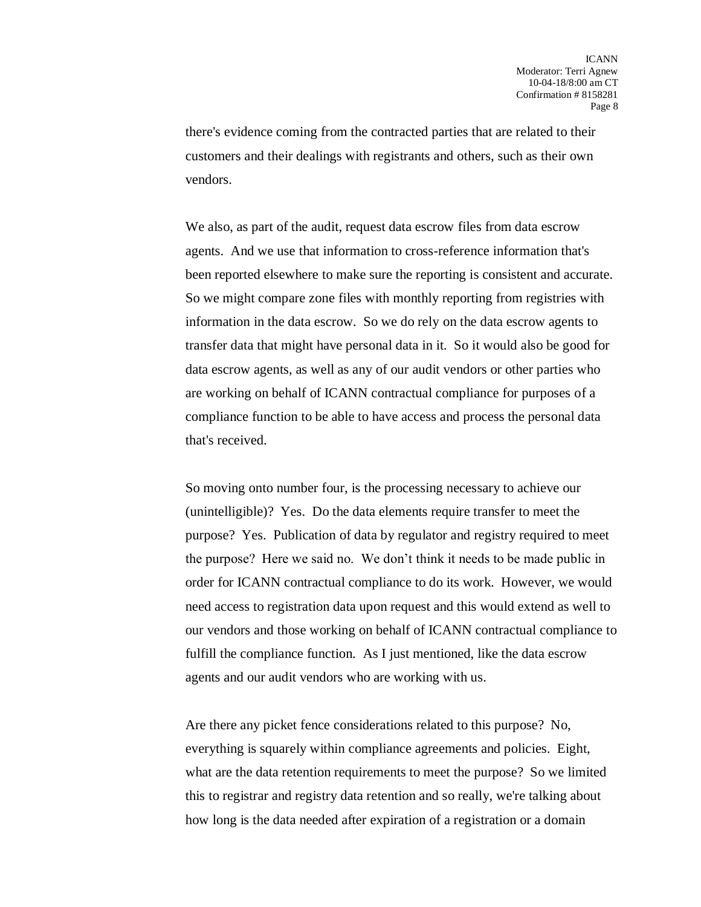there's evidence coming from the contracted parties that are related to their customers and their dealings with registrants and others, such as their own vendors.

We also, as part of the audit, request data escrow files from data escrow agents. And we use that information to cross-reference information that's been reported elsewhere to make sure the reporting is consistent and accurate. So we might compare zone files with monthly reporting from registries with information in the data escrow. So we do rely on the data escrow agents to transfer data that might have personal data in it. So it would also be good for data escrow agents, as well as any of our audit vendors or other parties who are working on behalf of ICANN contractual compliance for purposes of a compliance function to be able to have access and process the personal data that's received.

So moving onto number four, is the processing necessary to achieve our (unintelligible)? Yes. Do the data elements require transfer to meet the purpose? Yes. Publication of data by regulator and registry required to meet the purpose? Here we said no. We don't think it needs to be made public in order for ICANN contractual compliance to do its work. However, we would need access to registration data upon request and this would extend as well to our vendors and those working on behalf of ICANN contractual compliance to fulfill the compliance function. As I just mentioned, like the data escrow agents and our audit vendors who are working with us.

Are there any picket fence considerations related to this purpose? No, everything is squarely within compliance agreements and policies. Eight, what are the data retention requirements to meet the purpose? So we limited this to registrar and registry data retention and so really, we're talking about how long is the data needed after expiration of a registration or a domain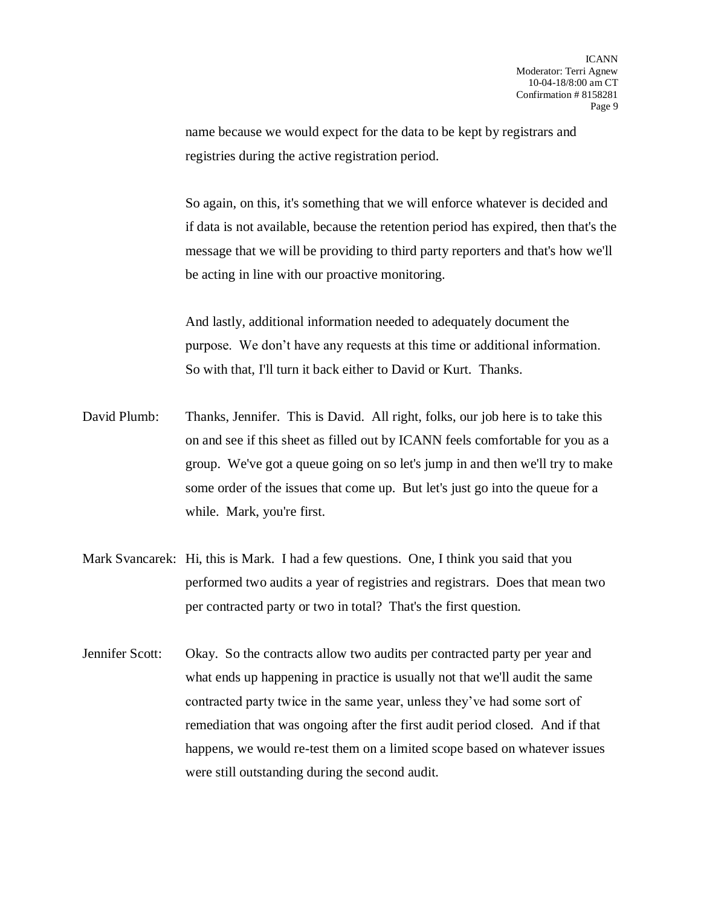name because we would expect for the data to be kept by registrars and registries during the active registration period.

So again, on this, it's something that we will enforce whatever is decided and if data is not available, because the retention period has expired, then that's the message that we will be providing to third party reporters and that's how we'll be acting in line with our proactive monitoring.

And lastly, additional information needed to adequately document the purpose. We don't have any requests at this time or additional information. So with that, I'll turn it back either to David or Kurt. Thanks.

- David Plumb: Thanks, Jennifer. This is David. All right, folks, our job here is to take this on and see if this sheet as filled out by ICANN feels comfortable for you as a group. We've got a queue going on so let's jump in and then we'll try to make some order of the issues that come up. But let's just go into the queue for a while. Mark, you're first.
- Mark Svancarek: Hi, this is Mark. I had a few questions. One, I think you said that you performed two audits a year of registries and registrars. Does that mean two per contracted party or two in total? That's the first question.
- Jennifer Scott: Okay. So the contracts allow two audits per contracted party per year and what ends up happening in practice is usually not that we'll audit the same contracted party twice in the same year, unless they've had some sort of remediation that was ongoing after the first audit period closed. And if that happens, we would re-test them on a limited scope based on whatever issues were still outstanding during the second audit.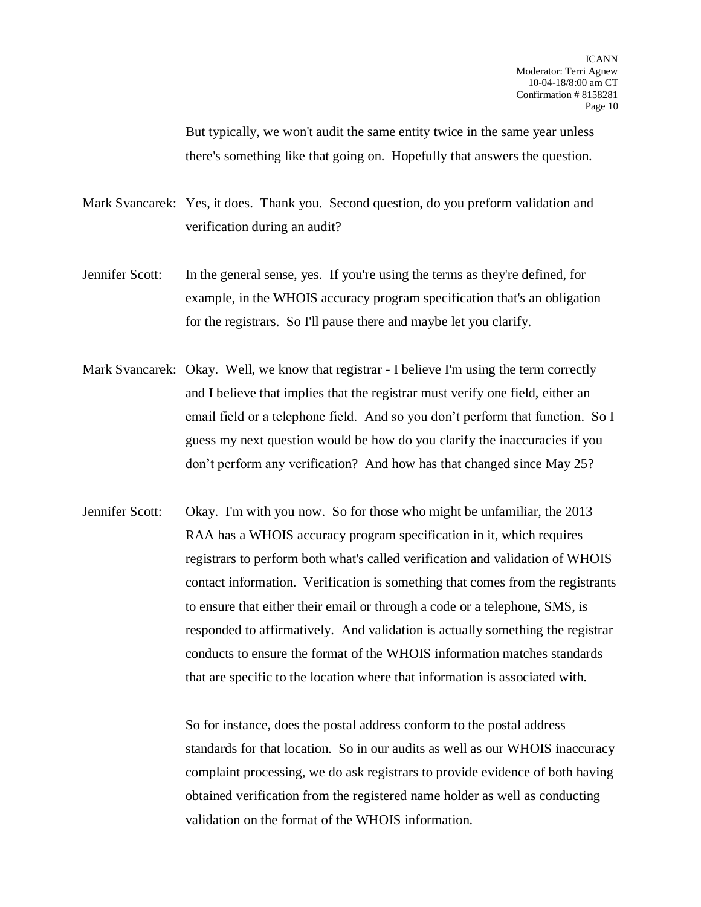But typically, we won't audit the same entity twice in the same year unless there's something like that going on. Hopefully that answers the question.

Mark Svancarek: Yes, it does. Thank you. Second question, do you preform validation and verification during an audit?

- Jennifer Scott: In the general sense, yes. If you're using the terms as they're defined, for example, in the WHOIS accuracy program specification that's an obligation for the registrars. So I'll pause there and maybe let you clarify.
- Mark Svancarek: Okay. Well, we know that registrar I believe I'm using the term correctly and I believe that implies that the registrar must verify one field, either an email field or a telephone field. And so you don't perform that function. So I guess my next question would be how do you clarify the inaccuracies if you don't perform any verification? And how has that changed since May 25?
- Jennifer Scott: Okay. I'm with you now. So for those who might be unfamiliar, the 2013 RAA has a WHOIS accuracy program specification in it, which requires registrars to perform both what's called verification and validation of WHOIS contact information. Verification is something that comes from the registrants to ensure that either their email or through a code or a telephone, SMS, is responded to affirmatively. And validation is actually something the registrar conducts to ensure the format of the WHOIS information matches standards that are specific to the location where that information is associated with.

So for instance, does the postal address conform to the postal address standards for that location. So in our audits as well as our WHOIS inaccuracy complaint processing, we do ask registrars to provide evidence of both having obtained verification from the registered name holder as well as conducting validation on the format of the WHOIS information.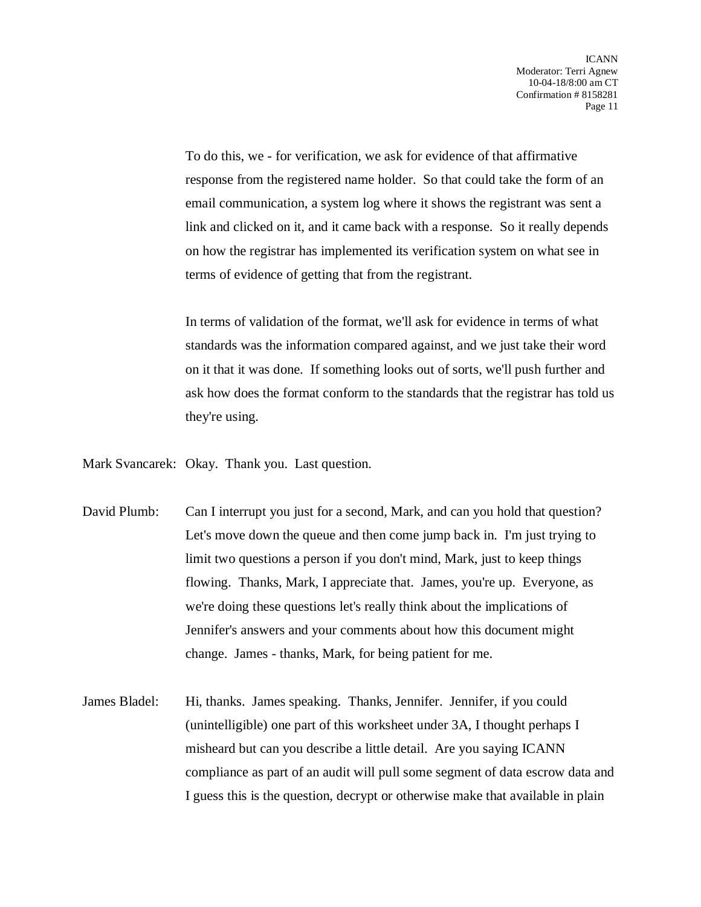To do this, we - for verification, we ask for evidence of that affirmative response from the registered name holder. So that could take the form of an email communication, a system log where it shows the registrant was sent a link and clicked on it, and it came back with a response. So it really depends on how the registrar has implemented its verification system on what see in terms of evidence of getting that from the registrant.

In terms of validation of the format, we'll ask for evidence in terms of what standards was the information compared against, and we just take their word on it that it was done. If something looks out of sorts, we'll push further and ask how does the format conform to the standards that the registrar has told us they're using.

Mark Svancarek: Okay. Thank you. Last question.

- David Plumb: Can I interrupt you just for a second, Mark, and can you hold that question? Let's move down the queue and then come jump back in. I'm just trying to limit two questions a person if you don't mind, Mark, just to keep things flowing. Thanks, Mark, I appreciate that. James, you're up. Everyone, as we're doing these questions let's really think about the implications of Jennifer's answers and your comments about how this document might change. James - thanks, Mark, for being patient for me.
- James Bladel: Hi, thanks. James speaking. Thanks, Jennifer. Jennifer, if you could (unintelligible) one part of this worksheet under 3A, I thought perhaps I misheard but can you describe a little detail. Are you saying ICANN compliance as part of an audit will pull some segment of data escrow data and I guess this is the question, decrypt or otherwise make that available in plain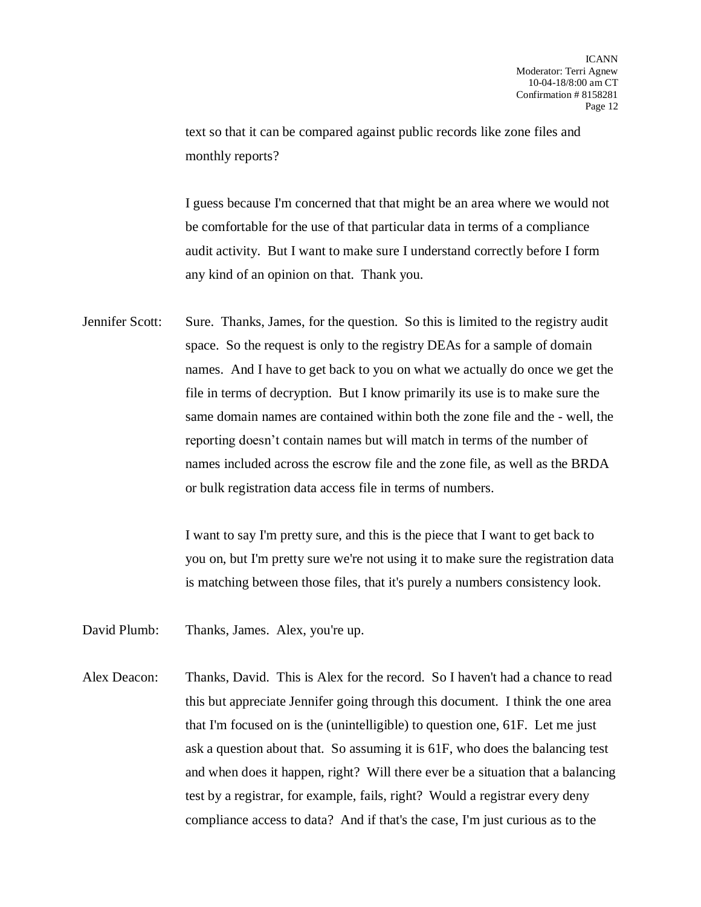text so that it can be compared against public records like zone files and monthly reports?

I guess because I'm concerned that that might be an area where we would not be comfortable for the use of that particular data in terms of a compliance audit activity. But I want to make sure I understand correctly before I form any kind of an opinion on that. Thank you.

Jennifer Scott: Sure. Thanks, James, for the question. So this is limited to the registry audit space. So the request is only to the registry DEAs for a sample of domain names. And I have to get back to you on what we actually do once we get the file in terms of decryption. But I know primarily its use is to make sure the same domain names are contained within both the zone file and the - well, the reporting doesn't contain names but will match in terms of the number of names included across the escrow file and the zone file, as well as the BRDA or bulk registration data access file in terms of numbers.

> I want to say I'm pretty sure, and this is the piece that I want to get back to you on, but I'm pretty sure we're not using it to make sure the registration data is matching between those files, that it's purely a numbers consistency look.

- David Plumb: Thanks, James. Alex, you're up.
- Alex Deacon: Thanks, David. This is Alex for the record. So I haven't had a chance to read this but appreciate Jennifer going through this document. I think the one area that I'm focused on is the (unintelligible) to question one, 61F. Let me just ask a question about that. So assuming it is 61F, who does the balancing test and when does it happen, right? Will there ever be a situation that a balancing test by a registrar, for example, fails, right? Would a registrar every deny compliance access to data? And if that's the case, I'm just curious as to the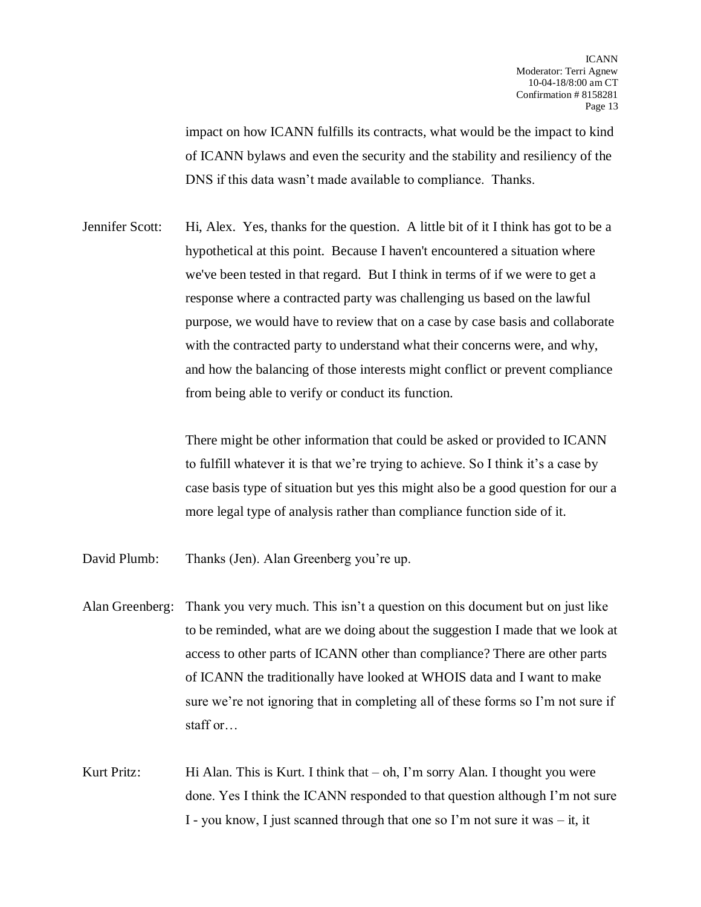impact on how ICANN fulfills its contracts, what would be the impact to kind of ICANN bylaws and even the security and the stability and resiliency of the DNS if this data wasn't made available to compliance. Thanks.

Jennifer Scott: Hi, Alex. Yes, thanks for the question. A little bit of it I think has got to be a hypothetical at this point. Because I haven't encountered a situation where we've been tested in that regard. But I think in terms of if we were to get a response where a contracted party was challenging us based on the lawful purpose, we would have to review that on a case by case basis and collaborate with the contracted party to understand what their concerns were, and why, and how the balancing of those interests might conflict or prevent compliance from being able to verify or conduct its function.

> There might be other information that could be asked or provided to ICANN to fulfill whatever it is that we're trying to achieve. So I think it's a case by case basis type of situation but yes this might also be a good question for our a more legal type of analysis rather than compliance function side of it.

David Plumb: Thanks (Jen). Alan Greenberg you're up.

- Alan Greenberg: Thank you very much. This isn't a question on this document but on just like to be reminded, what are we doing about the suggestion I made that we look at access to other parts of ICANN other than compliance? There are other parts of ICANN the traditionally have looked at WHOIS data and I want to make sure we're not ignoring that in completing all of these forms so I'm not sure if staff or…
- Kurt Pritz: Hi Alan. This is Kurt. I think that  $-\circ h$ , I'm sorry Alan. I thought you were done. Yes I think the ICANN responded to that question although I'm not sure I - you know, I just scanned through that one so I'm not sure it was – it, it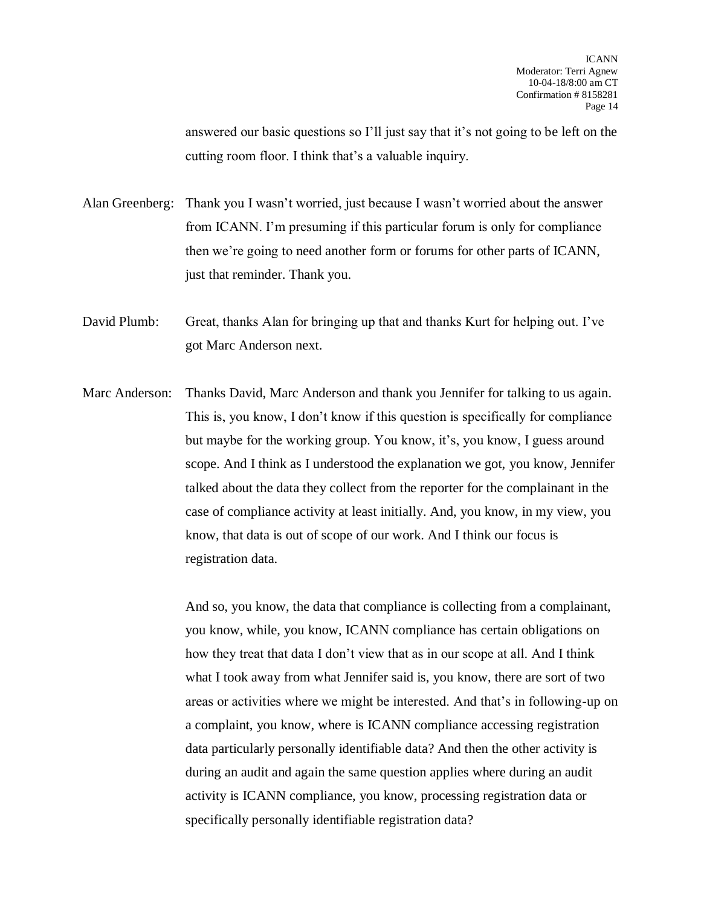answered our basic questions so I'll just say that it's not going to be left on the cutting room floor. I think that's a valuable inquiry.

Alan Greenberg: Thank you I wasn't worried, just because I wasn't worried about the answer from ICANN. I'm presuming if this particular forum is only for compliance then we're going to need another form or forums for other parts of ICANN, just that reminder. Thank you.

David Plumb: Great, thanks Alan for bringing up that and thanks Kurt for helping out. I've got Marc Anderson next.

Marc Anderson: Thanks David, Marc Anderson and thank you Jennifer for talking to us again. This is, you know, I don't know if this question is specifically for compliance but maybe for the working group. You know, it's, you know, I guess around scope. And I think as I understood the explanation we got, you know, Jennifer talked about the data they collect from the reporter for the complainant in the case of compliance activity at least initially. And, you know, in my view, you know, that data is out of scope of our work. And I think our focus is registration data.

> And so, you know, the data that compliance is collecting from a complainant, you know, while, you know, ICANN compliance has certain obligations on how they treat that data I don't view that as in our scope at all. And I think what I took away from what Jennifer said is, you know, there are sort of two areas or activities where we might be interested. And that's in following-up on a complaint, you know, where is ICANN compliance accessing registration data particularly personally identifiable data? And then the other activity is during an audit and again the same question applies where during an audit activity is ICANN compliance, you know, processing registration data or specifically personally identifiable registration data?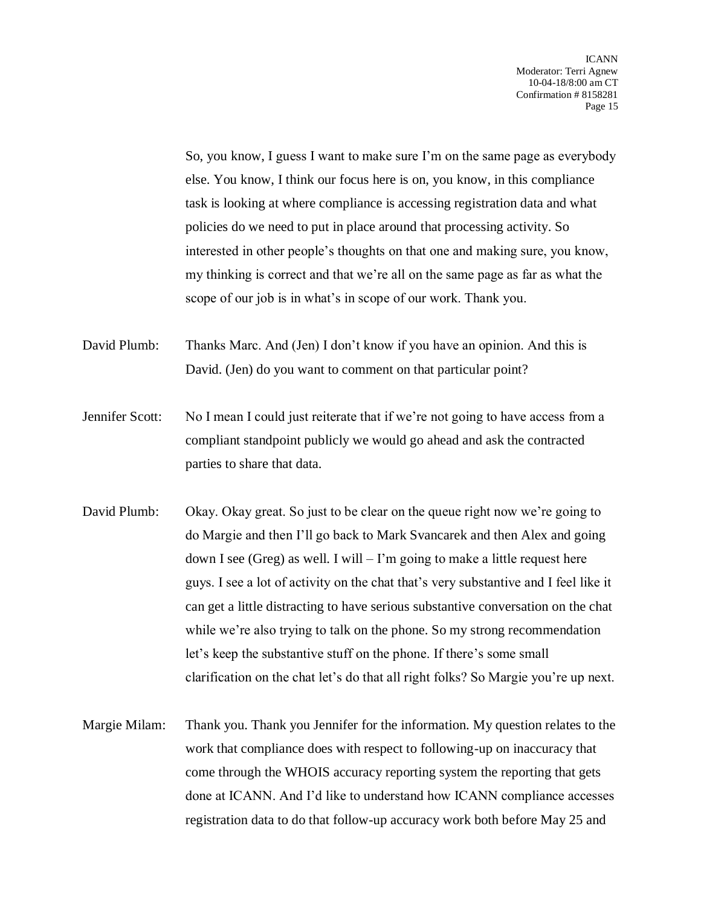So, you know, I guess I want to make sure I'm on the same page as everybody else. You know, I think our focus here is on, you know, in this compliance task is looking at where compliance is accessing registration data and what policies do we need to put in place around that processing activity. So interested in other people's thoughts on that one and making sure, you know, my thinking is correct and that we're all on the same page as far as what the scope of our job is in what's in scope of our work. Thank you.

David Plumb: Thanks Marc. And (Jen) I don't know if you have an opinion. And this is David. (Jen) do you want to comment on that particular point?

- Jennifer Scott: No I mean I could just reiterate that if we're not going to have access from a compliant standpoint publicly we would go ahead and ask the contracted parties to share that data.
- David Plumb: Okay. Okay great. So just to be clear on the queue right now we're going to do Margie and then I'll go back to Mark Svancarek and then Alex and going down I see (Greg) as well. I will  $-1$ 'm going to make a little request here guys. I see a lot of activity on the chat that's very substantive and I feel like it can get a little distracting to have serious substantive conversation on the chat while we're also trying to talk on the phone. So my strong recommendation let's keep the substantive stuff on the phone. If there's some small clarification on the chat let's do that all right folks? So Margie you're up next.
- Margie Milam: Thank you. Thank you Jennifer for the information. My question relates to the work that compliance does with respect to following-up on inaccuracy that come through the WHOIS accuracy reporting system the reporting that gets done at ICANN. And I'd like to understand how ICANN compliance accesses registration data to do that follow-up accuracy work both before May 25 and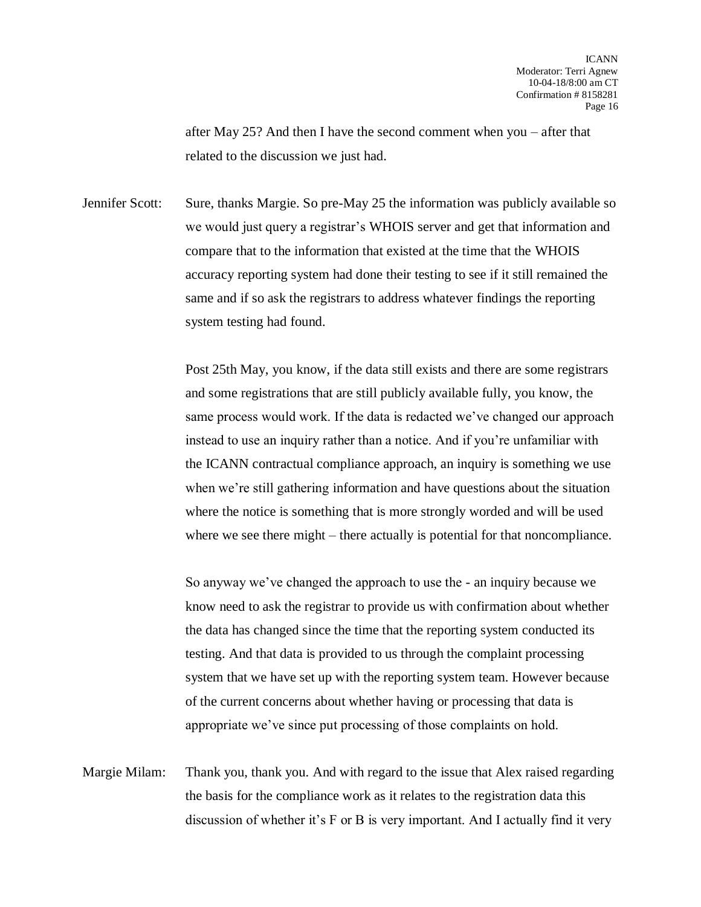after May 25? And then I have the second comment when you – after that related to the discussion we just had.

Jennifer Scott: Sure, thanks Margie. So pre-May 25 the information was publicly available so we would just query a registrar's WHOIS server and get that information and compare that to the information that existed at the time that the WHOIS accuracy reporting system had done their testing to see if it still remained the same and if so ask the registrars to address whatever findings the reporting system testing had found.

> Post 25th May, you know, if the data still exists and there are some registrars and some registrations that are still publicly available fully, you know, the same process would work. If the data is redacted we've changed our approach instead to use an inquiry rather than a notice. And if you're unfamiliar with the ICANN contractual compliance approach, an inquiry is something we use when we're still gathering information and have questions about the situation where the notice is something that is more strongly worded and will be used where we see there might – there actually is potential for that noncompliance.

So anyway we've changed the approach to use the - an inquiry because we know need to ask the registrar to provide us with confirmation about whether the data has changed since the time that the reporting system conducted its testing. And that data is provided to us through the complaint processing system that we have set up with the reporting system team. However because of the current concerns about whether having or processing that data is appropriate we've since put processing of those complaints on hold.

Margie Milam: Thank you, thank you. And with regard to the issue that Alex raised regarding the basis for the compliance work as it relates to the registration data this discussion of whether it's F or B is very important. And I actually find it very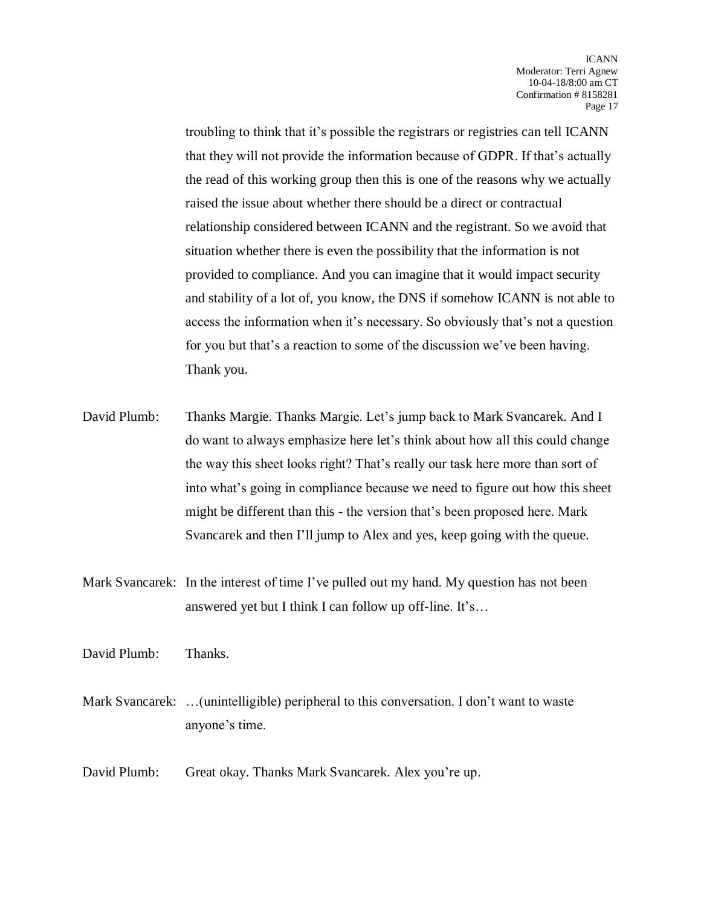troubling to think that it's possible the registrars or registries can tell ICANN that they will not provide the information because of GDPR. If that's actually the read of this working group then this is one of the reasons why we actually raised the issue about whether there should be a direct or contractual relationship considered between ICANN and the registrant. So we avoid that situation whether there is even the possibility that the information is not provided to compliance. And you can imagine that it would impact security and stability of a lot of, you know, the DNS if somehow ICANN is not able to access the information when it's necessary. So obviously that's not a question for you but that's a reaction to some of the discussion we've been having. Thank you.

- David Plumb: Thanks Margie. Thanks Margie. Let's jump back to Mark Svancarek. And I do want to always emphasize here let's think about how all this could change the way this sheet looks right? That's really our task here more than sort of into what's going in compliance because we need to figure out how this sheet might be different than this - the version that's been proposed here. Mark Svancarek and then I'll jump to Alex and yes, keep going with the queue.
- Mark Svancarek: In the interest of time I've pulled out my hand. My question has not been answered yet but I think I can follow up off-line. It's…

David Plumb: Thanks.

- Mark Svancarek: …(unintelligible) peripheral to this conversation. I don't want to waste anyone's time.
- David Plumb: Great okay. Thanks Mark Svancarek. Alex you're up.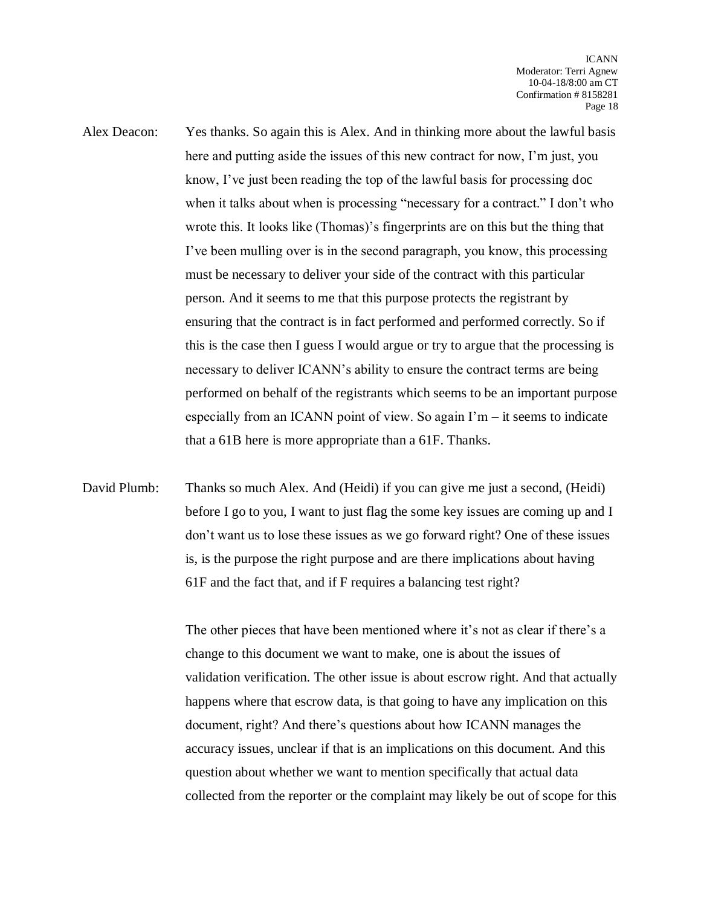- Alex Deacon: Yes thanks. So again this is Alex. And in thinking more about the lawful basis here and putting aside the issues of this new contract for now, I'm just, you know, I've just been reading the top of the lawful basis for processing doc when it talks about when is processing "necessary for a contract." I don't who wrote this. It looks like (Thomas)'s fingerprints are on this but the thing that I've been mulling over is in the second paragraph, you know, this processing must be necessary to deliver your side of the contract with this particular person. And it seems to me that this purpose protects the registrant by ensuring that the contract is in fact performed and performed correctly. So if this is the case then I guess I would argue or try to argue that the processing is necessary to deliver ICANN's ability to ensure the contract terms are being performed on behalf of the registrants which seems to be an important purpose especially from an ICANN point of view. So again  $\Gamma m - i t$  seems to indicate that a 61B here is more appropriate than a 61F. Thanks.
- David Plumb: Thanks so much Alex. And (Heidi) if you can give me just a second, (Heidi) before I go to you, I want to just flag the some key issues are coming up and I don't want us to lose these issues as we go forward right? One of these issues is, is the purpose the right purpose and are there implications about having 61F and the fact that, and if F requires a balancing test right?

The other pieces that have been mentioned where it's not as clear if there's a change to this document we want to make, one is about the issues of validation verification. The other issue is about escrow right. And that actually happens where that escrow data, is that going to have any implication on this document, right? And there's questions about how ICANN manages the accuracy issues, unclear if that is an implications on this document. And this question about whether we want to mention specifically that actual data collected from the reporter or the complaint may likely be out of scope for this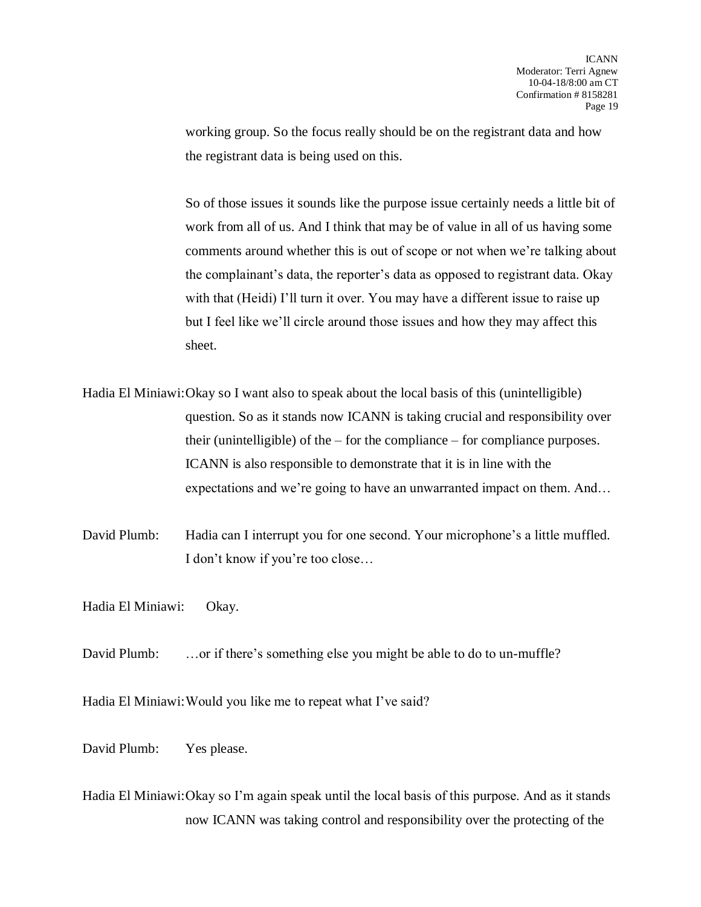working group. So the focus really should be on the registrant data and how the registrant data is being used on this.

So of those issues it sounds like the purpose issue certainly needs a little bit of work from all of us. And I think that may be of value in all of us having some comments around whether this is out of scope or not when we're talking about the complainant's data, the reporter's data as opposed to registrant data. Okay with that (Heidi) I'll turn it over. You may have a different issue to raise up but I feel like we'll circle around those issues and how they may affect this sheet.

Hadia El Miniawi:Okay so I want also to speak about the local basis of this (unintelligible) question. So as it stands now ICANN is taking crucial and responsibility over their (unintelligible) of the – for the compliance – for compliance purposes. ICANN is also responsible to demonstrate that it is in line with the expectations and we're going to have an unwarranted impact on them. And…

David Plumb: Hadia can I interrupt you for one second. Your microphone's a little muffled. I don't know if you're too close…

Hadia El Miniawi: Okay.

David Plumb: ...or if there's something else you might be able to do to un-muffle?

Hadia El Miniawi:Would you like me to repeat what I've said?

David Plumb: Yes please.

Hadia El Miniawi:Okay so I'm again speak until the local basis of this purpose. And as it stands now ICANN was taking control and responsibility over the protecting of the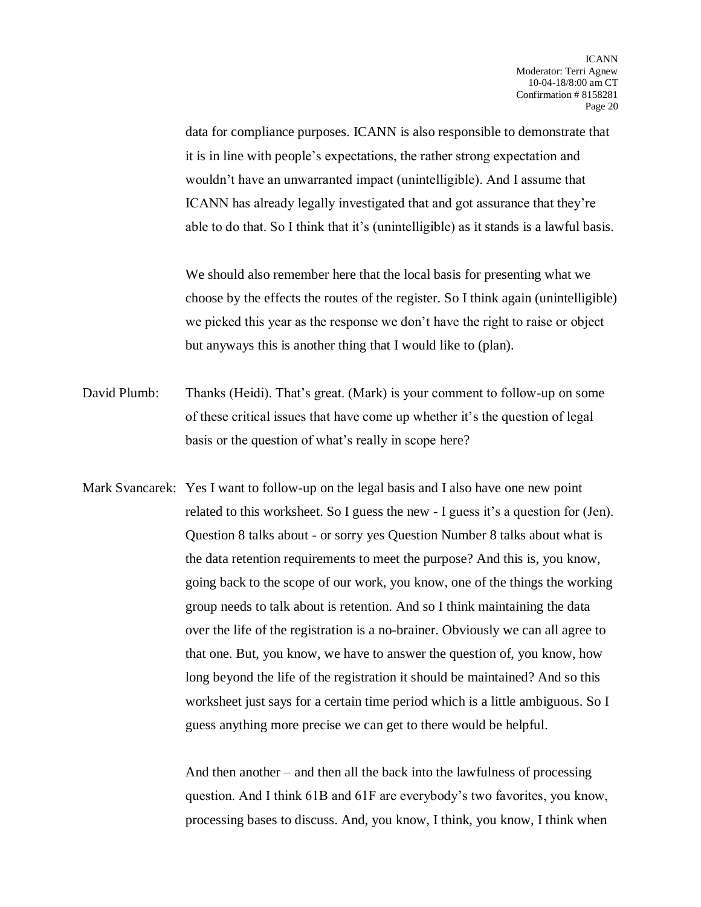data for compliance purposes. ICANN is also responsible to demonstrate that it is in line with people's expectations, the rather strong expectation and wouldn't have an unwarranted impact (unintelligible). And I assume that ICANN has already legally investigated that and got assurance that they're able to do that. So I think that it's (unintelligible) as it stands is a lawful basis.

We should also remember here that the local basis for presenting what we choose by the effects the routes of the register. So I think again (unintelligible) we picked this year as the response we don't have the right to raise or object but anyways this is another thing that I would like to (plan).

- David Plumb: Thanks (Heidi). That's great. (Mark) is your comment to follow-up on some of these critical issues that have come up whether it's the question of legal basis or the question of what's really in scope here?
- Mark Svancarek: Yes I want to follow-up on the legal basis and I also have one new point related to this worksheet. So I guess the new - I guess it's a question for (Jen). Question 8 talks about - or sorry yes Question Number 8 talks about what is the data retention requirements to meet the purpose? And this is, you know, going back to the scope of our work, you know, one of the things the working group needs to talk about is retention. And so I think maintaining the data over the life of the registration is a no-brainer. Obviously we can all agree to that one. But, you know, we have to answer the question of, you know, how long beyond the life of the registration it should be maintained? And so this worksheet just says for a certain time period which is a little ambiguous. So I guess anything more precise we can get to there would be helpful.

And then another – and then all the back into the lawfulness of processing question. And I think 61B and 61F are everybody's two favorites, you know, processing bases to discuss. And, you know, I think, you know, I think when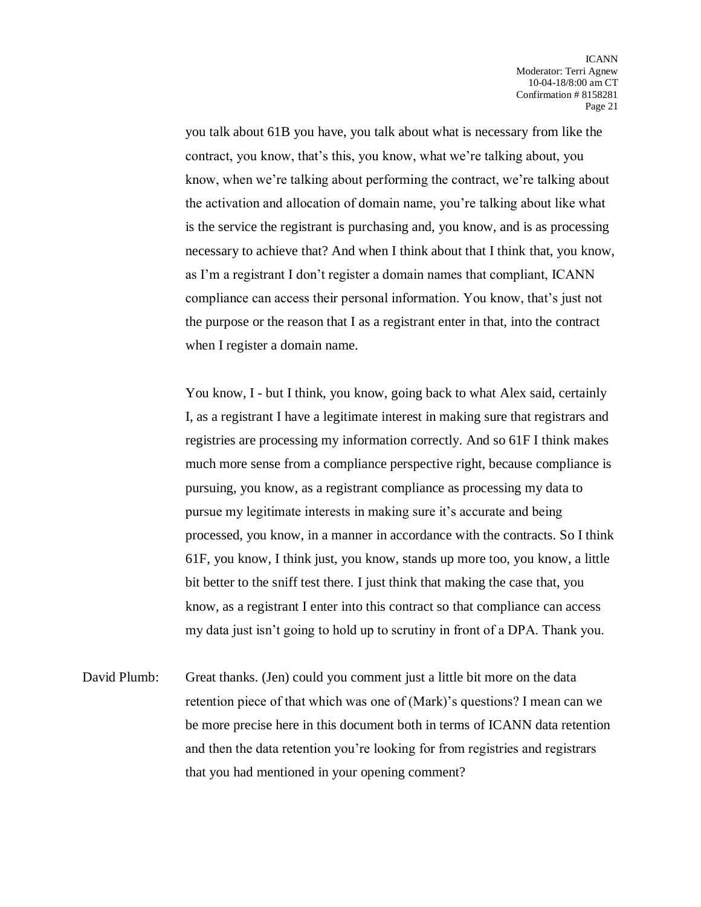you talk about 61B you have, you talk about what is necessary from like the contract, you know, that's this, you know, what we're talking about, you know, when we're talking about performing the contract, we're talking about the activation and allocation of domain name, you're talking about like what is the service the registrant is purchasing and, you know, and is as processing necessary to achieve that? And when I think about that I think that, you know, as I'm a registrant I don't register a domain names that compliant, ICANN compliance can access their personal information. You know, that's just not the purpose or the reason that I as a registrant enter in that, into the contract when I register a domain name.

You know, I - but I think, you know, going back to what Alex said, certainly I, as a registrant I have a legitimate interest in making sure that registrars and registries are processing my information correctly. And so 61F I think makes much more sense from a compliance perspective right, because compliance is pursuing, you know, as a registrant compliance as processing my data to pursue my legitimate interests in making sure it's accurate and being processed, you know, in a manner in accordance with the contracts. So I think 61F, you know, I think just, you know, stands up more too, you know, a little bit better to the sniff test there. I just think that making the case that, you know, as a registrant I enter into this contract so that compliance can access my data just isn't going to hold up to scrutiny in front of a DPA. Thank you.

David Plumb: Great thanks. (Jen) could you comment just a little bit more on the data retention piece of that which was one of (Mark)'s questions? I mean can we be more precise here in this document both in terms of ICANN data retention and then the data retention you're looking for from registries and registrars that you had mentioned in your opening comment?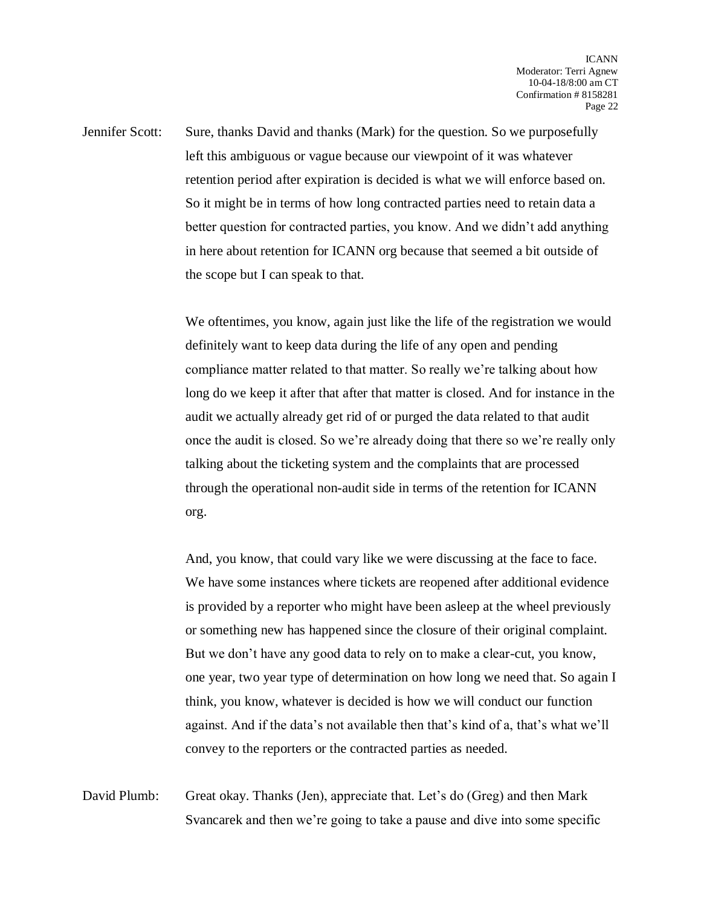Jennifer Scott: Sure, thanks David and thanks (Mark) for the question. So we purposefully left this ambiguous or vague because our viewpoint of it was whatever retention period after expiration is decided is what we will enforce based on. So it might be in terms of how long contracted parties need to retain data a better question for contracted parties, you know. And we didn't add anything in here about retention for ICANN org because that seemed a bit outside of the scope but I can speak to that.

> We oftentimes, you know, again just like the life of the registration we would definitely want to keep data during the life of any open and pending compliance matter related to that matter. So really we're talking about how long do we keep it after that after that matter is closed. And for instance in the audit we actually already get rid of or purged the data related to that audit once the audit is closed. So we're already doing that there so we're really only talking about the ticketing system and the complaints that are processed through the operational non-audit side in terms of the retention for ICANN org.

> And, you know, that could vary like we were discussing at the face to face. We have some instances where tickets are reopened after additional evidence is provided by a reporter who might have been asleep at the wheel previously or something new has happened since the closure of their original complaint. But we don't have any good data to rely on to make a clear-cut, you know, one year, two year type of determination on how long we need that. So again I think, you know, whatever is decided is how we will conduct our function against. And if the data's not available then that's kind of a, that's what we'll convey to the reporters or the contracted parties as needed.

David Plumb: Great okay. Thanks (Jen), appreciate that. Let's do (Greg) and then Mark Svancarek and then we're going to take a pause and dive into some specific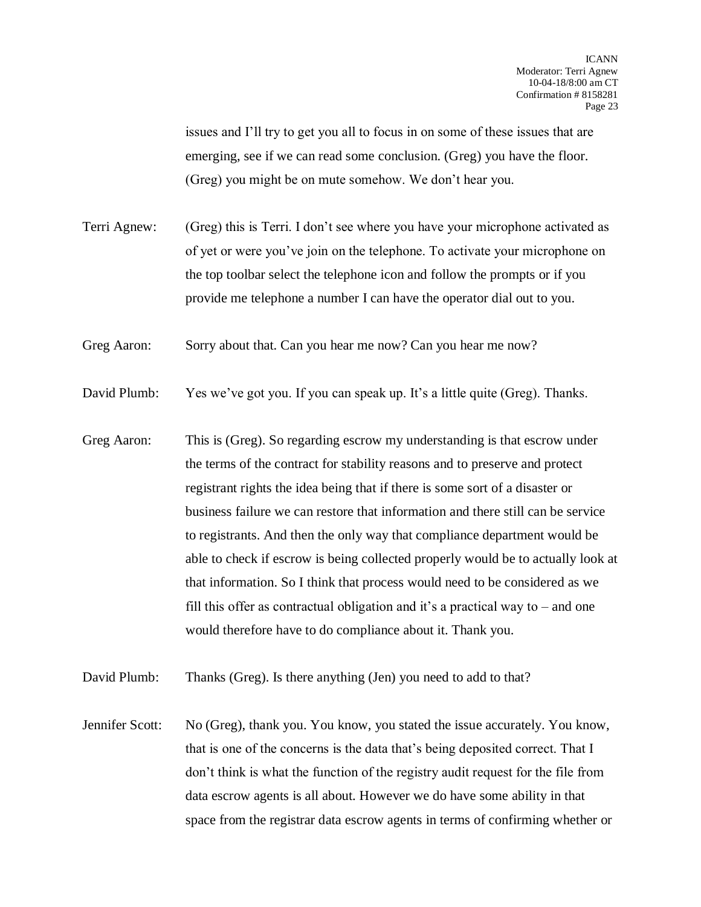issues and I'll try to get you all to focus in on some of these issues that are emerging, see if we can read some conclusion. (Greg) you have the floor. (Greg) you might be on mute somehow. We don't hear you.

Terri Agnew: (Greg) this is Terri. I don't see where you have your microphone activated as of yet or were you've join on the telephone. To activate your microphone on the top toolbar select the telephone icon and follow the prompts or if you provide me telephone a number I can have the operator dial out to you.

Greg Aaron: Sorry about that. Can you hear me now? Can you hear me now?

David Plumb: Yes we've got you. If you can speak up. It's a little quite (Greg). Thanks.

Greg Aaron: This is (Greg). So regarding escrow my understanding is that escrow under the terms of the contract for stability reasons and to preserve and protect registrant rights the idea being that if there is some sort of a disaster or business failure we can restore that information and there still can be service to registrants. And then the only way that compliance department would be able to check if escrow is being collected properly would be to actually look at that information. So I think that process would need to be considered as we fill this offer as contractual obligation and it's a practical way to – and one would therefore have to do compliance about it. Thank you.

David Plumb: Thanks (Greg). Is there anything (Jen) you need to add to that?

Jennifer Scott: No (Greg), thank you. You know, you stated the issue accurately. You know, that is one of the concerns is the data that's being deposited correct. That I don't think is what the function of the registry audit request for the file from data escrow agents is all about. However we do have some ability in that space from the registrar data escrow agents in terms of confirming whether or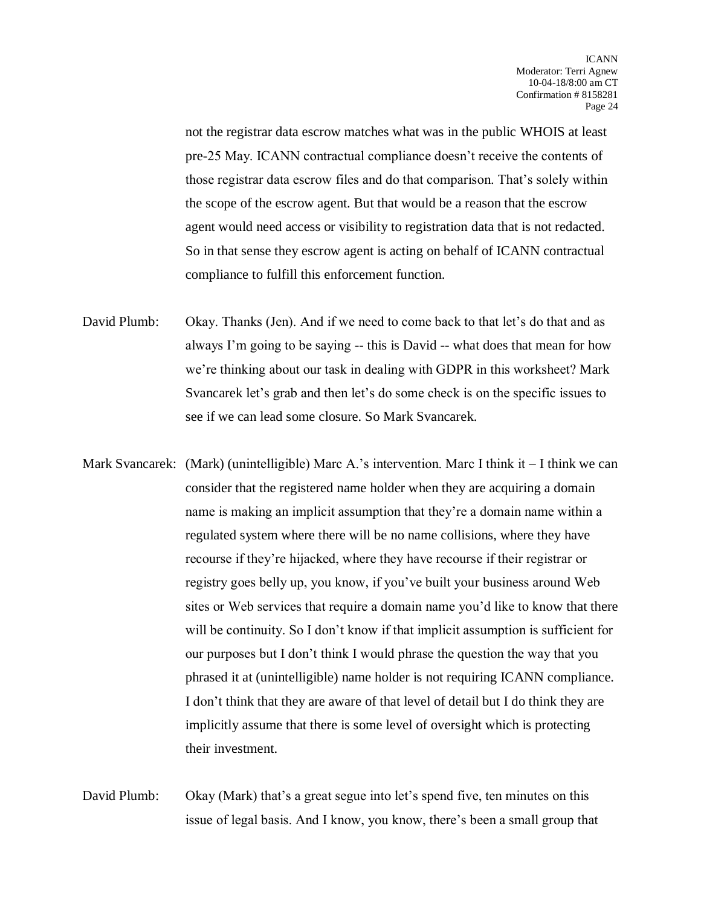not the registrar data escrow matches what was in the public WHOIS at least pre-25 May. ICANN contractual compliance doesn't receive the contents of those registrar data escrow files and do that comparison. That's solely within the scope of the escrow agent. But that would be a reason that the escrow agent would need access or visibility to registration data that is not redacted. So in that sense they escrow agent is acting on behalf of ICANN contractual compliance to fulfill this enforcement function.

- David Plumb: Okay. Thanks (Jen). And if we need to come back to that let's do that and as always I'm going to be saying -- this is David -- what does that mean for how we're thinking about our task in dealing with GDPR in this worksheet? Mark Svancarek let's grab and then let's do some check is on the specific issues to see if we can lead some closure. So Mark Svancarek.
- Mark Svancarek: (Mark) (unintelligible) Marc A.'s intervention. Marc I think it  $-$  I think we can consider that the registered name holder when they are acquiring a domain name is making an implicit assumption that they're a domain name within a regulated system where there will be no name collisions, where they have recourse if they're hijacked, where they have recourse if their registrar or registry goes belly up, you know, if you've built your business around Web sites or Web services that require a domain name you'd like to know that there will be continuity. So I don't know if that implicit assumption is sufficient for our purposes but I don't think I would phrase the question the way that you phrased it at (unintelligible) name holder is not requiring ICANN compliance. I don't think that they are aware of that level of detail but I do think they are implicitly assume that there is some level of oversight which is protecting their investment.
- David Plumb: Okay (Mark) that's a great segue into let's spend five, ten minutes on this issue of legal basis. And I know, you know, there's been a small group that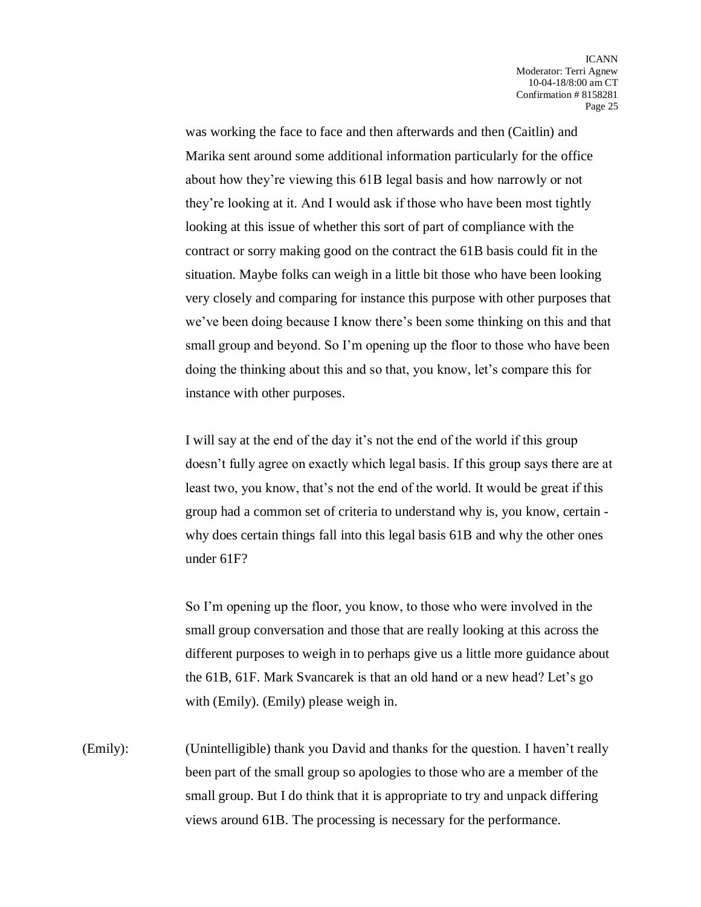was working the face to face and then afterwards and then (Caitlin) and Marika sent around some additional information particularly for the office about how they're viewing this 61B legal basis and how narrowly or not they're looking at it. And I would ask if those who have been most tightly looking at this issue of whether this sort of part of compliance with the contract or sorry making good on the contract the 61B basis could fit in the situation. Maybe folks can weigh in a little bit those who have been looking very closely and comparing for instance this purpose with other purposes that we've been doing because I know there's been some thinking on this and that small group and beyond. So I'm opening up the floor to those who have been doing the thinking about this and so that, you know, let's compare this for instance with other purposes.

I will say at the end of the day it's not the end of the world if this group doesn't fully agree on exactly which legal basis. If this group says there are at least two, you know, that's not the end of the world. It would be great if this group had a common set of criteria to understand why is, you know, certain why does certain things fall into this legal basis 61B and why the other ones under 61F?

So I'm opening up the floor, you know, to those who were involved in the small group conversation and those that are really looking at this across the different purposes to weigh in to perhaps give us a little more guidance about the 61B, 61F. Mark Svancarek is that an old hand or a new head? Let's go with (Emily). (Emily) please weigh in.

(Emily): (Unintelligible) thank you David and thanks for the question. I haven't really been part of the small group so apologies to those who are a member of the small group. But I do think that it is appropriate to try and unpack differing views around 61B. The processing is necessary for the performance.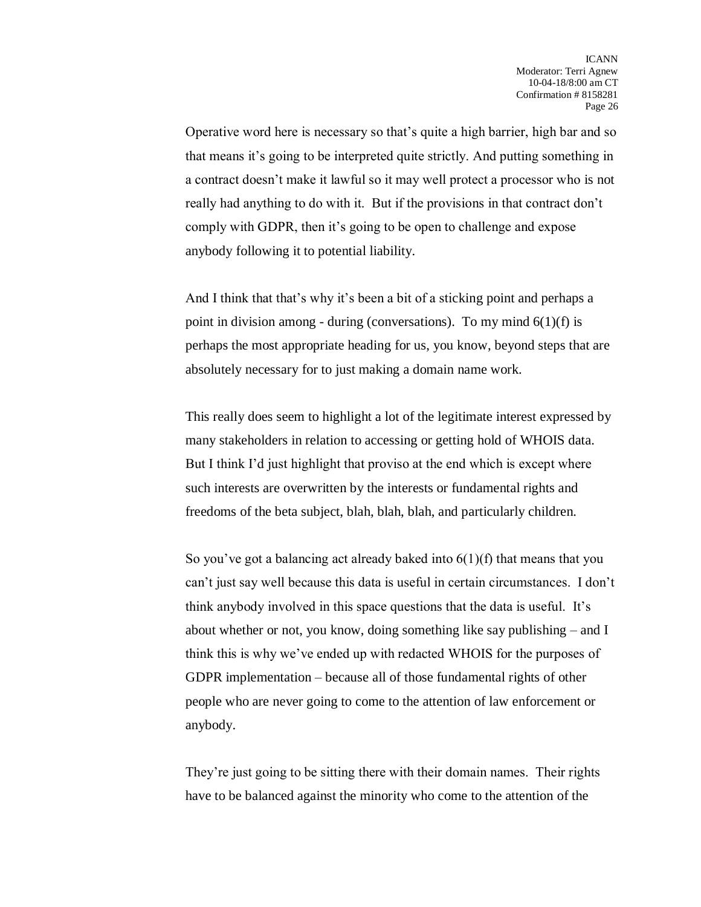Operative word here is necessary so that's quite a high barrier, high bar and so that means it's going to be interpreted quite strictly. And putting something in a contract doesn't make it lawful so it may well protect a processor who is not really had anything to do with it. But if the provisions in that contract don't comply with GDPR, then it's going to be open to challenge and expose anybody following it to potential liability.

And I think that that's why it's been a bit of a sticking point and perhaps a point in division among - during (conversations). To my mind  $6(1)(f)$  is perhaps the most appropriate heading for us, you know, beyond steps that are absolutely necessary for to just making a domain name work.

This really does seem to highlight a lot of the legitimate interest expressed by many stakeholders in relation to accessing or getting hold of WHOIS data. But I think I'd just highlight that proviso at the end which is except where such interests are overwritten by the interests or fundamental rights and freedoms of the beta subject, blah, blah, blah, and particularly children.

So you've got a balancing act already baked into  $6(1)(f)$  that means that you can't just say well because this data is useful in certain circumstances. I don't think anybody involved in this space questions that the data is useful. It's about whether or not, you know, doing something like say publishing – and I think this is why we've ended up with redacted WHOIS for the purposes of GDPR implementation – because all of those fundamental rights of other people who are never going to come to the attention of law enforcement or anybody.

They're just going to be sitting there with their domain names. Their rights have to be balanced against the minority who come to the attention of the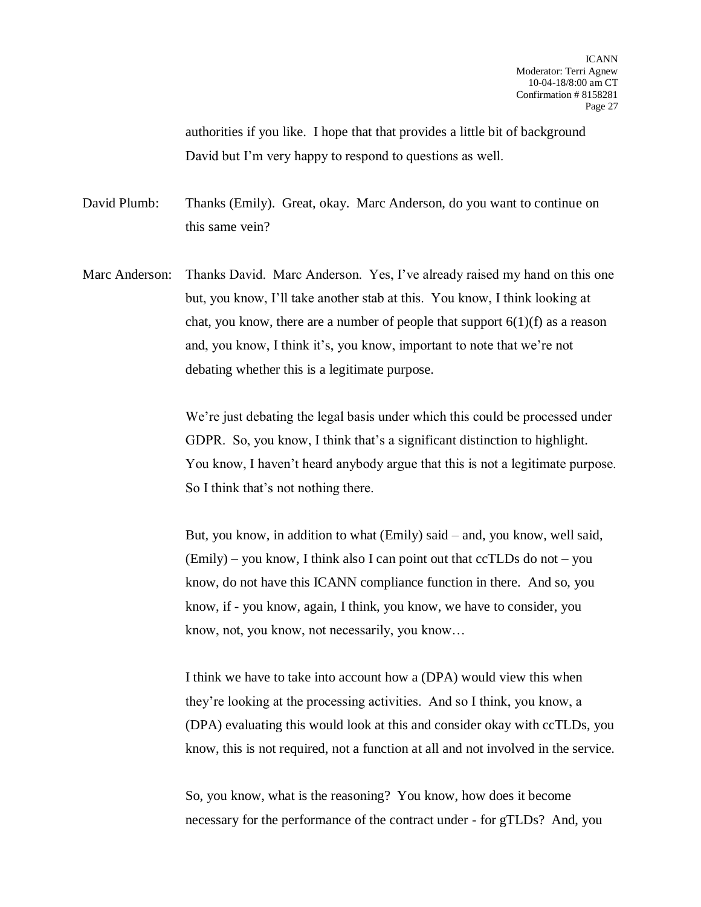authorities if you like. I hope that that provides a little bit of background David but I'm very happy to respond to questions as well.

David Plumb: Thanks (Emily). Great, okay. Marc Anderson, do you want to continue on this same vein?

Marc Anderson: Thanks David. Marc Anderson. Yes, I've already raised my hand on this one but, you know, I'll take another stab at this. You know, I think looking at chat, you know, there are a number of people that support  $6(1)(f)$  as a reason and, you know, I think it's, you know, important to note that we're not debating whether this is a legitimate purpose.

> We're just debating the legal basis under which this could be processed under GDPR. So, you know, I think that's a significant distinction to highlight. You know, I haven't heard anybody argue that this is not a legitimate purpose. So I think that's not nothing there.

But, you know, in addition to what (Emily) said – and, you know, well said, (Emily) – you know, I think also I can point out that ccTLDs do not – you know, do not have this ICANN compliance function in there. And so, you know, if - you know, again, I think, you know, we have to consider, you know, not, you know, not necessarily, you know…

I think we have to take into account how a (DPA) would view this when they're looking at the processing activities. And so I think, you know, a (DPA) evaluating this would look at this and consider okay with ccTLDs, you know, this is not required, not a function at all and not involved in the service.

So, you know, what is the reasoning? You know, how does it become necessary for the performance of the contract under - for gTLDs? And, you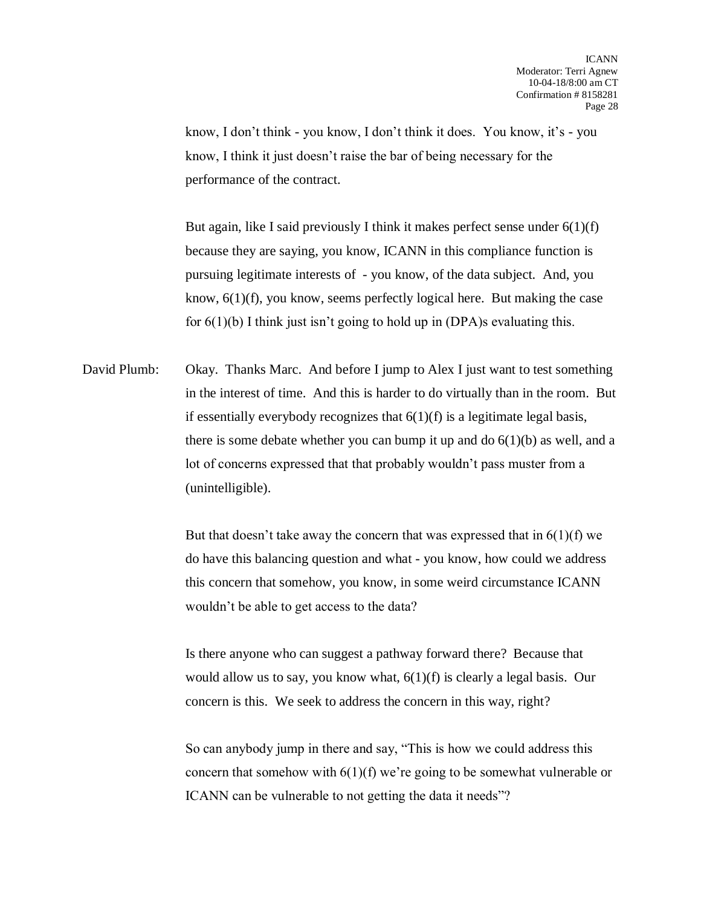know, I don't think - you know, I don't think it does. You know, it's - you know, I think it just doesn't raise the bar of being necessary for the performance of the contract.

But again, like I said previously I think it makes perfect sense under  $6(1)(f)$ because they are saying, you know, ICANN in this compliance function is pursuing legitimate interests of - you know, of the data subject. And, you know, 6(1)(f), you know, seems perfectly logical here. But making the case for  $6(1)(b)$  I think just isn't going to hold up in (DPA)s evaluating this.

David Plumb: Okay. Thanks Marc. And before I jump to Alex I just want to test something in the interest of time. And this is harder to do virtually than in the room. But if essentially everybody recognizes that  $6(1)(f)$  is a legitimate legal basis, there is some debate whether you can bump it up and do  $6(1)(b)$  as well, and a lot of concerns expressed that that probably wouldn't pass muster from a (unintelligible).

> But that doesn't take away the concern that was expressed that in  $6(1)(f)$  we do have this balancing question and what - you know, how could we address this concern that somehow, you know, in some weird circumstance ICANN wouldn't be able to get access to the data?

Is there anyone who can suggest a pathway forward there? Because that would allow us to say, you know what, 6(1)(f) is clearly a legal basis. Our concern is this. We seek to address the concern in this way, right?

So can anybody jump in there and say, "This is how we could address this concern that somehow with 6(1)(f) we're going to be somewhat vulnerable or ICANN can be vulnerable to not getting the data it needs"?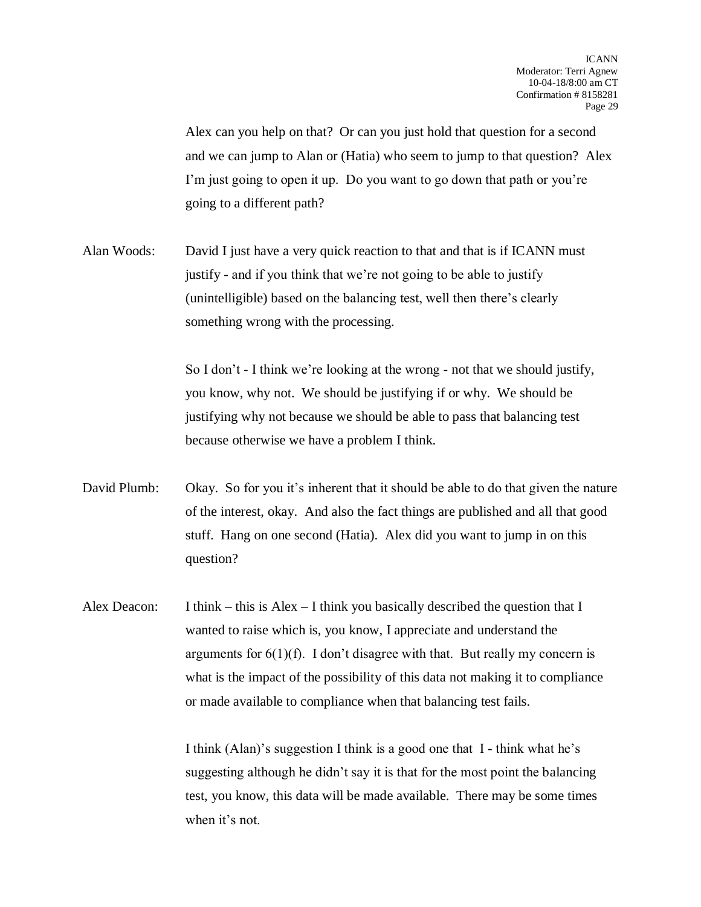Alex can you help on that? Or can you just hold that question for a second and we can jump to Alan or (Hatia) who seem to jump to that question? Alex I'm just going to open it up. Do you want to go down that path or you're going to a different path?

Alan Woods: David I just have a very quick reaction to that and that is if ICANN must justify - and if you think that we're not going to be able to justify (unintelligible) based on the balancing test, well then there's clearly something wrong with the processing.

> So I don't - I think we're looking at the wrong - not that we should justify, you know, why not. We should be justifying if or why. We should be justifying why not because we should be able to pass that balancing test because otherwise we have a problem I think.

- David Plumb: Okay. So for you it's inherent that it should be able to do that given the nature of the interest, okay. And also the fact things are published and all that good stuff. Hang on one second (Hatia). Alex did you want to jump in on this question?
- Alex Deacon: I think this is Alex I think you basically described the question that I wanted to raise which is, you know, I appreciate and understand the arguments for  $6(1)(f)$ . I don't disagree with that. But really my concern is what is the impact of the possibility of this data not making it to compliance or made available to compliance when that balancing test fails.

I think (Alan)'s suggestion I think is a good one that I - think what he's suggesting although he didn't say it is that for the most point the balancing test, you know, this data will be made available. There may be some times when it's not.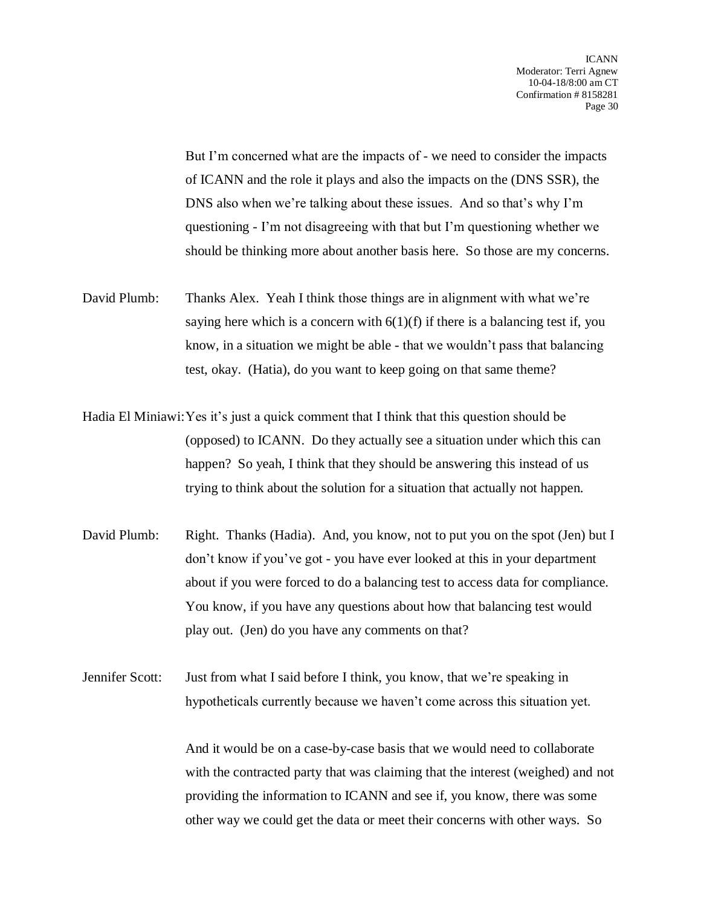But I'm concerned what are the impacts of - we need to consider the impacts of ICANN and the role it plays and also the impacts on the (DNS SSR), the DNS also when we're talking about these issues. And so that's why I'm questioning - I'm not disagreeing with that but I'm questioning whether we should be thinking more about another basis here. So those are my concerns.

- David Plumb: Thanks Alex. Yeah I think those things are in alignment with what we're saying here which is a concern with  $6(1)(f)$  if there is a balancing test if, you know, in a situation we might be able - that we wouldn't pass that balancing test, okay. (Hatia), do you want to keep going on that same theme?
- Hadia El Miniawi:Yes it's just a quick comment that I think that this question should be (opposed) to ICANN. Do they actually see a situation under which this can happen? So yeah, I think that they should be answering this instead of us trying to think about the solution for a situation that actually not happen.
- David Plumb: Right. Thanks (Hadia). And, you know, not to put you on the spot (Jen) but I don't know if you've got - you have ever looked at this in your department about if you were forced to do a balancing test to access data for compliance. You know, if you have any questions about how that balancing test would play out. (Jen) do you have any comments on that?

Jennifer Scott: Just from what I said before I think, you know, that we're speaking in hypotheticals currently because we haven't come across this situation yet.

> And it would be on a case-by-case basis that we would need to collaborate with the contracted party that was claiming that the interest (weighed) and not providing the information to ICANN and see if, you know, there was some other way we could get the data or meet their concerns with other ways. So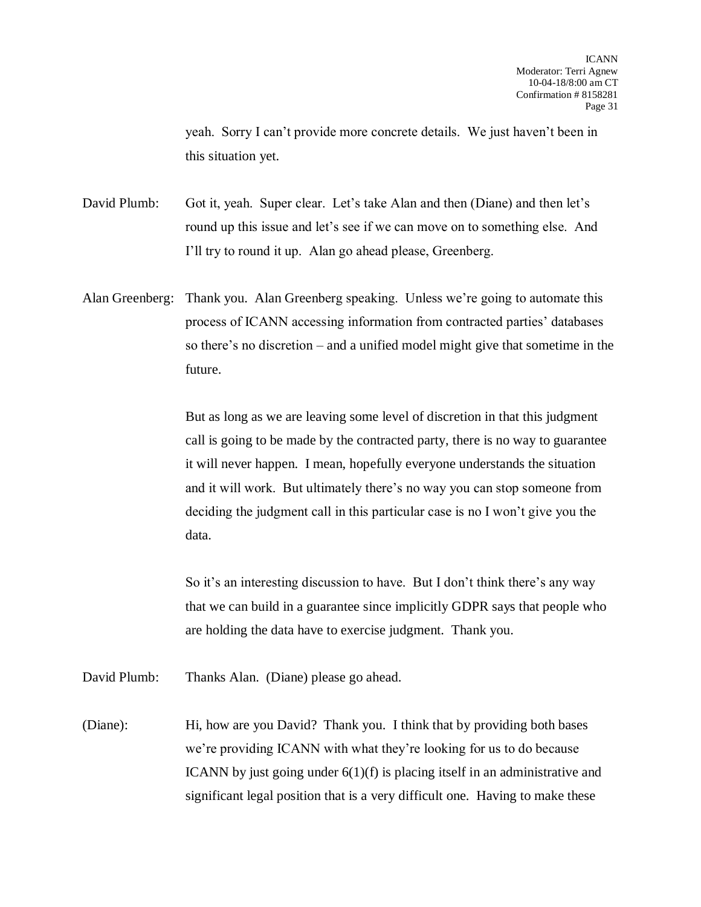yeah. Sorry I can't provide more concrete details. We just haven't been in this situation yet.

David Plumb: Got it, yeah. Super clear. Let's take Alan and then (Diane) and then let's round up this issue and let's see if we can move on to something else. And I'll try to round it up. Alan go ahead please, Greenberg.

Alan Greenberg: Thank you. Alan Greenberg speaking. Unless we're going to automate this process of ICANN accessing information from contracted parties' databases so there's no discretion – and a unified model might give that sometime in the future.

> But as long as we are leaving some level of discretion in that this judgment call is going to be made by the contracted party, there is no way to guarantee it will never happen. I mean, hopefully everyone understands the situation and it will work. But ultimately there's no way you can stop someone from deciding the judgment call in this particular case is no I won't give you the data.

> So it's an interesting discussion to have. But I don't think there's any way that we can build in a guarantee since implicitly GDPR says that people who are holding the data have to exercise judgment. Thank you.

David Plumb: Thanks Alan. (Diane) please go ahead.

(Diane): Hi, how are you David? Thank you. I think that by providing both bases we're providing ICANN with what they're looking for us to do because ICANN by just going under 6(1)(f) is placing itself in an administrative and significant legal position that is a very difficult one. Having to make these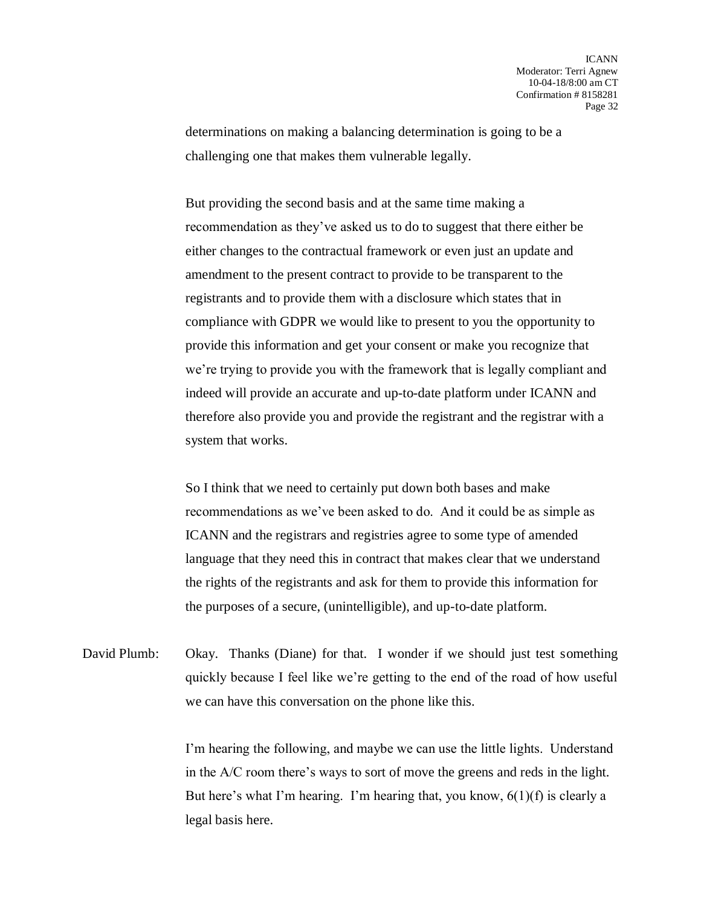determinations on making a balancing determination is going to be a challenging one that makes them vulnerable legally.

But providing the second basis and at the same time making a recommendation as they've asked us to do to suggest that there either be either changes to the contractual framework or even just an update and amendment to the present contract to provide to be transparent to the registrants and to provide them with a disclosure which states that in compliance with GDPR we would like to present to you the opportunity to provide this information and get your consent or make you recognize that we're trying to provide you with the framework that is legally compliant and indeed will provide an accurate and up-to-date platform under ICANN and therefore also provide you and provide the registrant and the registrar with a system that works.

So I think that we need to certainly put down both bases and make recommendations as we've been asked to do. And it could be as simple as ICANN and the registrars and registries agree to some type of amended language that they need this in contract that makes clear that we understand the rights of the registrants and ask for them to provide this information for the purposes of a secure, (unintelligible), and up-to-date platform.

David Plumb: Okay. Thanks (Diane) for that. I wonder if we should just test something quickly because I feel like we're getting to the end of the road of how useful we can have this conversation on the phone like this.

> I'm hearing the following, and maybe we can use the little lights. Understand in the A/C room there's ways to sort of move the greens and reds in the light. But here's what I'm hearing. I'm hearing that, you know,  $6(1)(f)$  is clearly a legal basis here.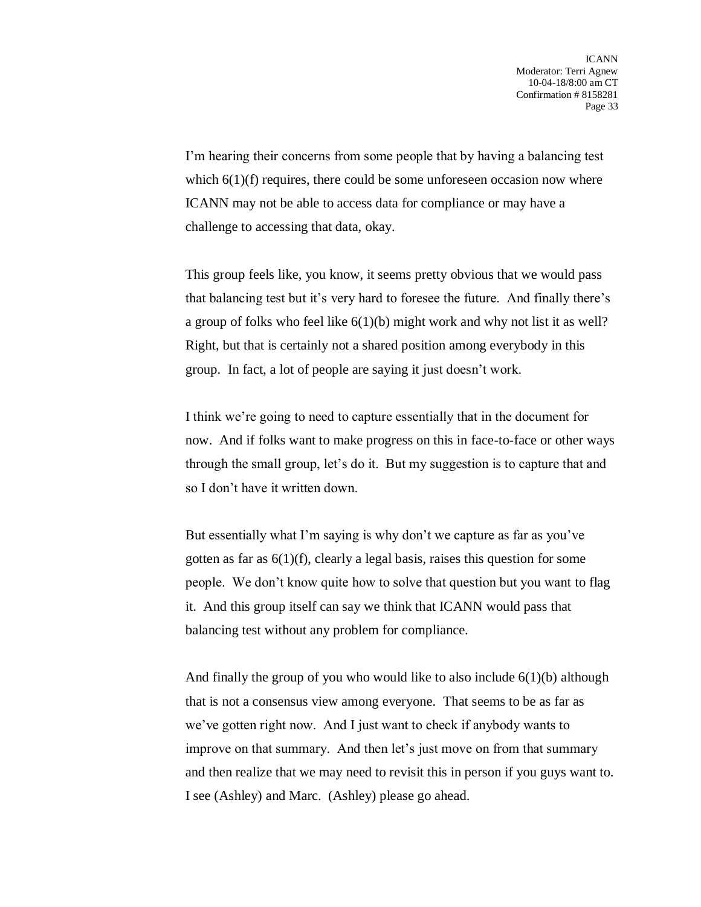I'm hearing their concerns from some people that by having a balancing test which  $6(1)(f)$  requires, there could be some unforeseen occasion now where ICANN may not be able to access data for compliance or may have a challenge to accessing that data, okay.

This group feels like, you know, it seems pretty obvious that we would pass that balancing test but it's very hard to foresee the future. And finally there's a group of folks who feel like 6(1)(b) might work and why not list it as well? Right, but that is certainly not a shared position among everybody in this group. In fact, a lot of people are saying it just doesn't work.

I think we're going to need to capture essentially that in the document for now. And if folks want to make progress on this in face-to-face or other ways through the small group, let's do it. But my suggestion is to capture that and so I don't have it written down.

But essentially what I'm saying is why don't we capture as far as you've gotten as far as  $6(1)(f)$ , clearly a legal basis, raises this question for some people. We don't know quite how to solve that question but you want to flag it. And this group itself can say we think that ICANN would pass that balancing test without any problem for compliance.

And finally the group of you who would like to also include  $6(1)(b)$  although that is not a consensus view among everyone. That seems to be as far as we've gotten right now. And I just want to check if anybody wants to improve on that summary. And then let's just move on from that summary and then realize that we may need to revisit this in person if you guys want to. I see (Ashley) and Marc. (Ashley) please go ahead.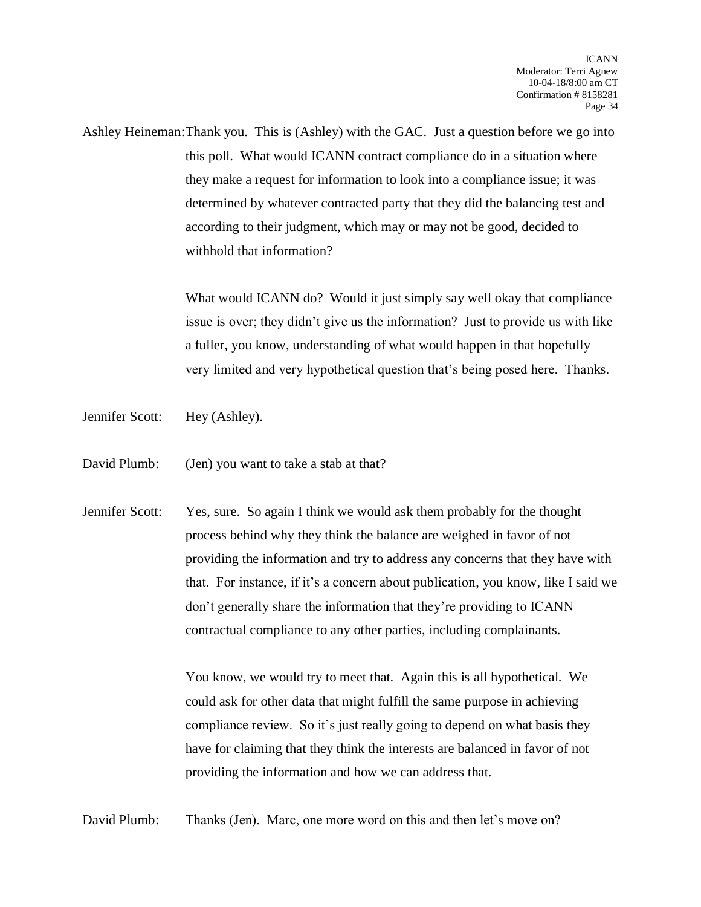Ashley Heineman:Thank you. This is (Ashley) with the GAC. Just a question before we go into this poll. What would ICANN contract compliance do in a situation where they make a request for information to look into a compliance issue; it was determined by whatever contracted party that they did the balancing test and according to their judgment, which may or may not be good, decided to withhold that information?

> What would ICANN do? Would it just simply say well okay that compliance issue is over; they didn't give us the information? Just to provide us with like a fuller, you know, understanding of what would happen in that hopefully very limited and very hypothetical question that's being posed here. Thanks.

- Jennifer Scott: Hey (Ashley).
- David Plumb: (Jen) you want to take a stab at that?
- Jennifer Scott: Yes, sure. So again I think we would ask them probably for the thought process behind why they think the balance are weighed in favor of not providing the information and try to address any concerns that they have with that. For instance, if it's a concern about publication, you know, like I said we don't generally share the information that they're providing to ICANN contractual compliance to any other parties, including complainants.

You know, we would try to meet that. Again this is all hypothetical. We could ask for other data that might fulfill the same purpose in achieving compliance review. So it's just really going to depend on what basis they have for claiming that they think the interests are balanced in favor of not providing the information and how we can address that.

David Plumb: Thanks (Jen). Marc, one more word on this and then let's move on?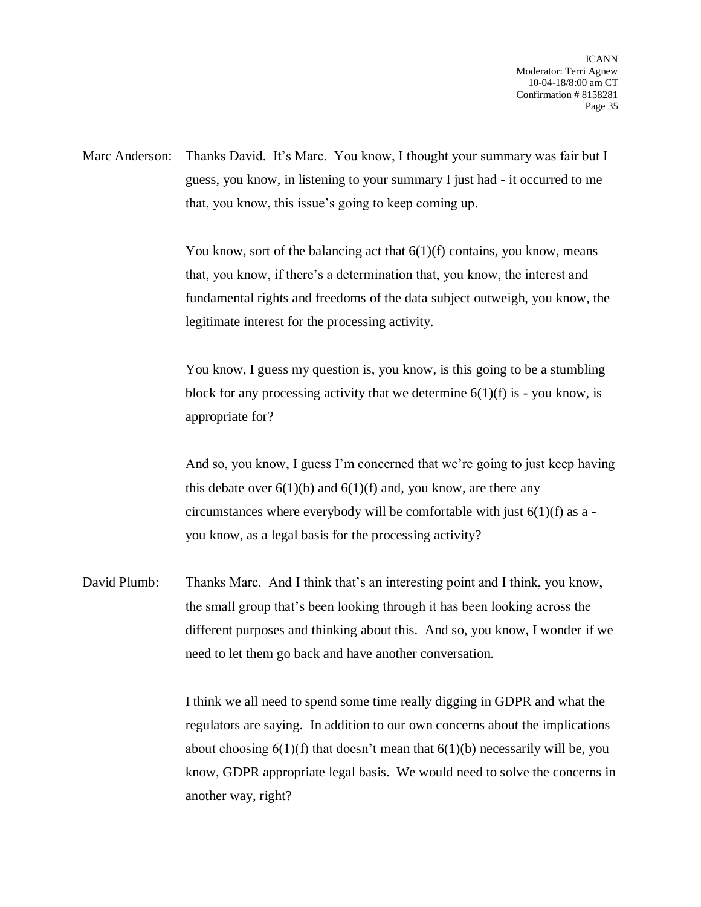Marc Anderson: Thanks David. It's Marc. You know, I thought your summary was fair but I guess, you know, in listening to your summary I just had - it occurred to me that, you know, this issue's going to keep coming up.

> You know, sort of the balancing act that  $6(1)(f)$  contains, you know, means that, you know, if there's a determination that, you know, the interest and fundamental rights and freedoms of the data subject outweigh, you know, the legitimate interest for the processing activity.

You know, I guess my question is, you know, is this going to be a stumbling block for any processing activity that we determine  $6(1)(f)$  is - you know, is appropriate for?

And so, you know, I guess I'm concerned that we're going to just keep having this debate over  $6(1)(b)$  and  $6(1)(f)$  and, you know, are there any circumstances where everybody will be comfortable with just  $6(1)(f)$  as a you know, as a legal basis for the processing activity?

David Plumb: Thanks Marc. And I think that's an interesting point and I think, you know, the small group that's been looking through it has been looking across the different purposes and thinking about this. And so, you know, I wonder if we need to let them go back and have another conversation.

> I think we all need to spend some time really digging in GDPR and what the regulators are saying. In addition to our own concerns about the implications about choosing  $6(1)(f)$  that doesn't mean that  $6(1)(b)$  necessarily will be, you know, GDPR appropriate legal basis. We would need to solve the concerns in another way, right?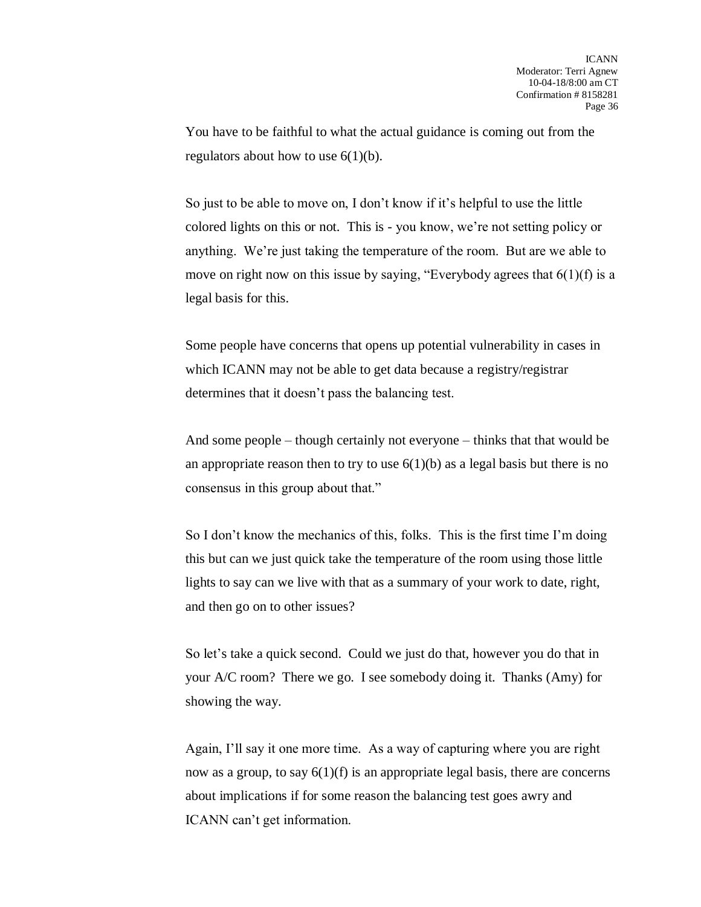You have to be faithful to what the actual guidance is coming out from the regulators about how to use  $6(1)(b)$ .

So just to be able to move on, I don't know if it's helpful to use the little colored lights on this or not. This is - you know, we're not setting policy or anything. We're just taking the temperature of the room. But are we able to move on right now on this issue by saying, "Everybody agrees that  $6(1)(f)$  is a legal basis for this.

Some people have concerns that opens up potential vulnerability in cases in which ICANN may not be able to get data because a registry/registrar determines that it doesn't pass the balancing test.

And some people – though certainly not everyone – thinks that that would be an appropriate reason then to try to use  $6(1)(b)$  as a legal basis but there is no consensus in this group about that."

So I don't know the mechanics of this, folks. This is the first time I'm doing this but can we just quick take the temperature of the room using those little lights to say can we live with that as a summary of your work to date, right, and then go on to other issues?

So let's take a quick second. Could we just do that, however you do that in your A/C room? There we go. I see somebody doing it. Thanks (Amy) for showing the way.

Again, I'll say it one more time. As a way of capturing where you are right now as a group, to say  $6(1)(f)$  is an appropriate legal basis, there are concerns about implications if for some reason the balancing test goes awry and ICANN can't get information.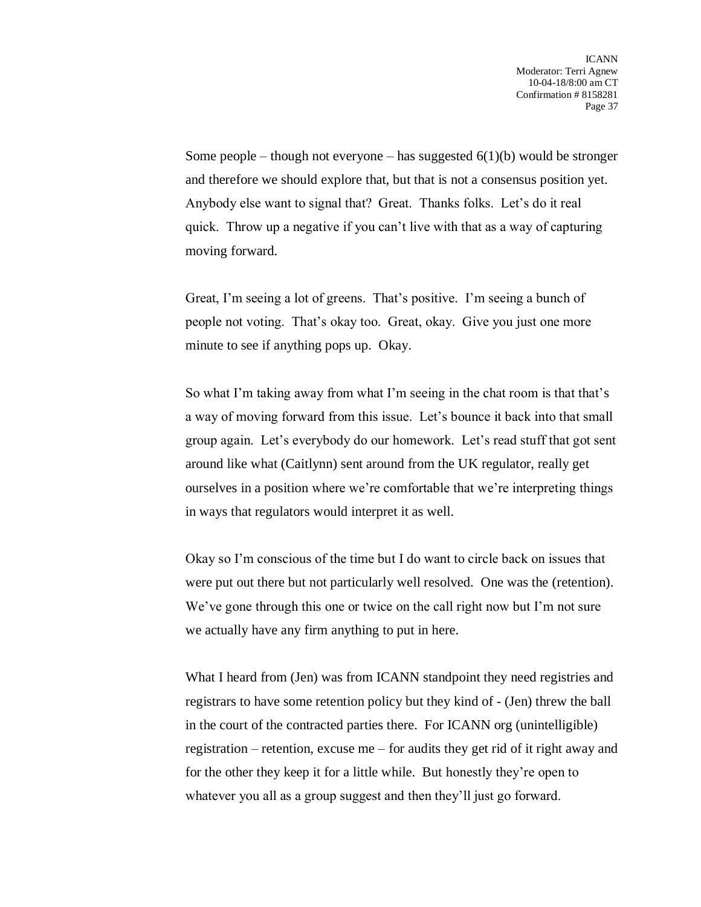Some people – though not everyone – has suggested  $6(1)(b)$  would be stronger and therefore we should explore that, but that is not a consensus position yet. Anybody else want to signal that? Great. Thanks folks. Let's do it real quick. Throw up a negative if you can't live with that as a way of capturing moving forward.

Great, I'm seeing a lot of greens. That's positive. I'm seeing a bunch of people not voting. That's okay too. Great, okay. Give you just one more minute to see if anything pops up. Okay.

So what I'm taking away from what I'm seeing in the chat room is that that's a way of moving forward from this issue. Let's bounce it back into that small group again. Let's everybody do our homework. Let's read stuff that got sent around like what (Caitlynn) sent around from the UK regulator, really get ourselves in a position where we're comfortable that we're interpreting things in ways that regulators would interpret it as well.

Okay so I'm conscious of the time but I do want to circle back on issues that were put out there but not particularly well resolved. One was the (retention). We've gone through this one or twice on the call right now but I'm not sure we actually have any firm anything to put in here.

What I heard from (Jen) was from ICANN standpoint they need registries and registrars to have some retention policy but they kind of - (Jen) threw the ball in the court of the contracted parties there. For ICANN org (unintelligible) registration – retention, excuse me – for audits they get rid of it right away and for the other they keep it for a little while. But honestly they're open to whatever you all as a group suggest and then they'll just go forward.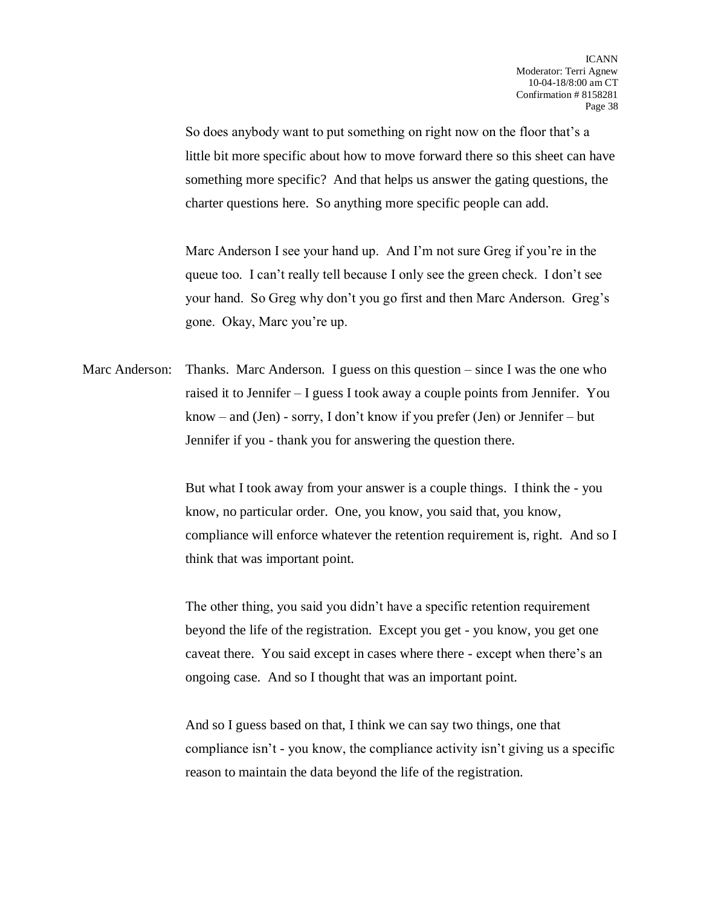So does anybody want to put something on right now on the floor that's a little bit more specific about how to move forward there so this sheet can have something more specific? And that helps us answer the gating questions, the charter questions here. So anything more specific people can add.

Marc Anderson I see your hand up. And I'm not sure Greg if you're in the queue too. I can't really tell because I only see the green check. I don't see your hand. So Greg why don't you go first and then Marc Anderson. Greg's gone. Okay, Marc you're up.

Marc Anderson: Thanks. Marc Anderson. I guess on this question – since I was the one who raised it to Jennifer – I guess I took away a couple points from Jennifer. You know – and (Jen) - sorry, I don't know if you prefer (Jen) or Jennifer – but Jennifer if you - thank you for answering the question there.

> But what I took away from your answer is a couple things. I think the - you know, no particular order. One, you know, you said that, you know, compliance will enforce whatever the retention requirement is, right. And so I think that was important point.

The other thing, you said you didn't have a specific retention requirement beyond the life of the registration. Except you get - you know, you get one caveat there. You said except in cases where there - except when there's an ongoing case. And so I thought that was an important point.

And so I guess based on that, I think we can say two things, one that compliance isn't - you know, the compliance activity isn't giving us a specific reason to maintain the data beyond the life of the registration.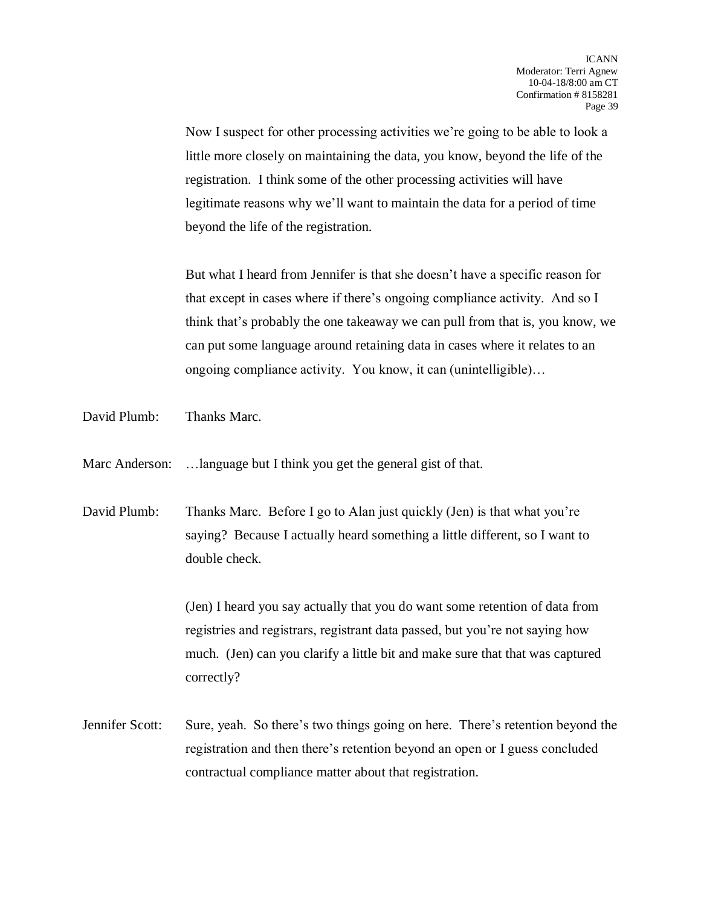Now I suspect for other processing activities we're going to be able to look a little more closely on maintaining the data, you know, beyond the life of the registration. I think some of the other processing activities will have legitimate reasons why we'll want to maintain the data for a period of time beyond the life of the registration.

But what I heard from Jennifer is that she doesn't have a specific reason for that except in cases where if there's ongoing compliance activity. And so I think that's probably the one takeaway we can pull from that is, you know, we can put some language around retaining data in cases where it relates to an ongoing compliance activity. You know, it can (unintelligible)…

David Plumb: Thanks Marc.

Marc Anderson: ...language but I think you get the general gist of that.

David Plumb: Thanks Marc. Before I go to Alan just quickly (Jen) is that what you're saying? Because I actually heard something a little different, so I want to double check.

> (Jen) I heard you say actually that you do want some retention of data from registries and registrars, registrant data passed, but you're not saying how much. (Jen) can you clarify a little bit and make sure that that was captured correctly?

Jennifer Scott: Sure, yeah. So there's two things going on here. There's retention beyond the registration and then there's retention beyond an open or I guess concluded contractual compliance matter about that registration.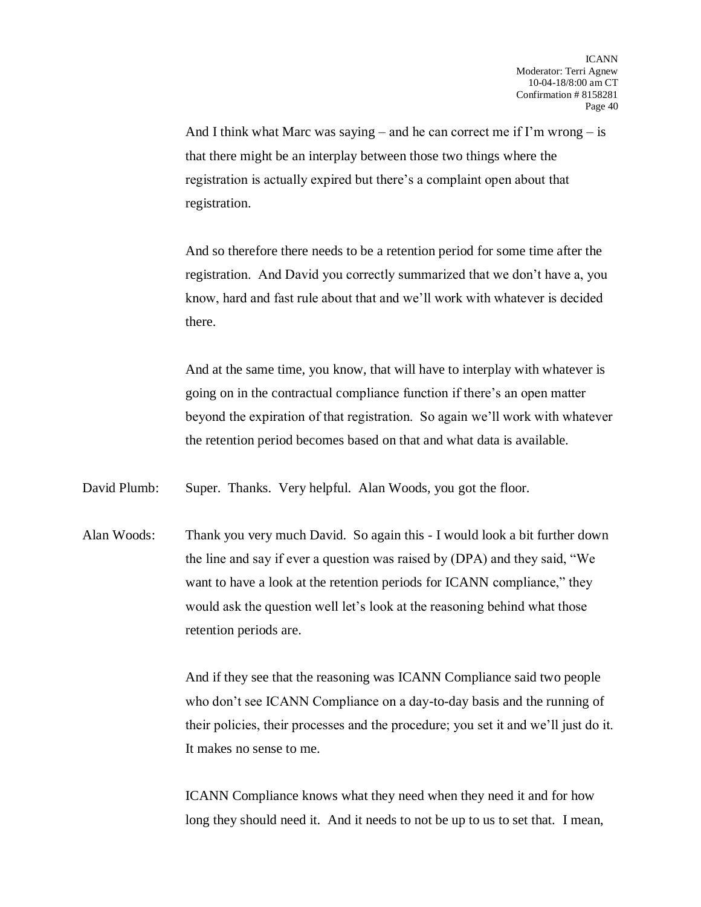And I think what Marc was saying – and he can correct me if I'm wrong – is that there might be an interplay between those two things where the registration is actually expired but there's a complaint open about that registration.

And so therefore there needs to be a retention period for some time after the registration. And David you correctly summarized that we don't have a, you know, hard and fast rule about that and we'll work with whatever is decided there.

And at the same time, you know, that will have to interplay with whatever is going on in the contractual compliance function if there's an open matter beyond the expiration of that registration. So again we'll work with whatever the retention period becomes based on that and what data is available.

David Plumb: Super. Thanks. Very helpful. Alan Woods, you got the floor.

Alan Woods: Thank you very much David. So again this - I would look a bit further down the line and say if ever a question was raised by (DPA) and they said, "We want to have a look at the retention periods for ICANN compliance," they would ask the question well let's look at the reasoning behind what those retention periods are.

> And if they see that the reasoning was ICANN Compliance said two people who don't see ICANN Compliance on a day-to-day basis and the running of their policies, their processes and the procedure; you set it and we'll just do it. It makes no sense to me.

ICANN Compliance knows what they need when they need it and for how long they should need it. And it needs to not be up to us to set that. I mean,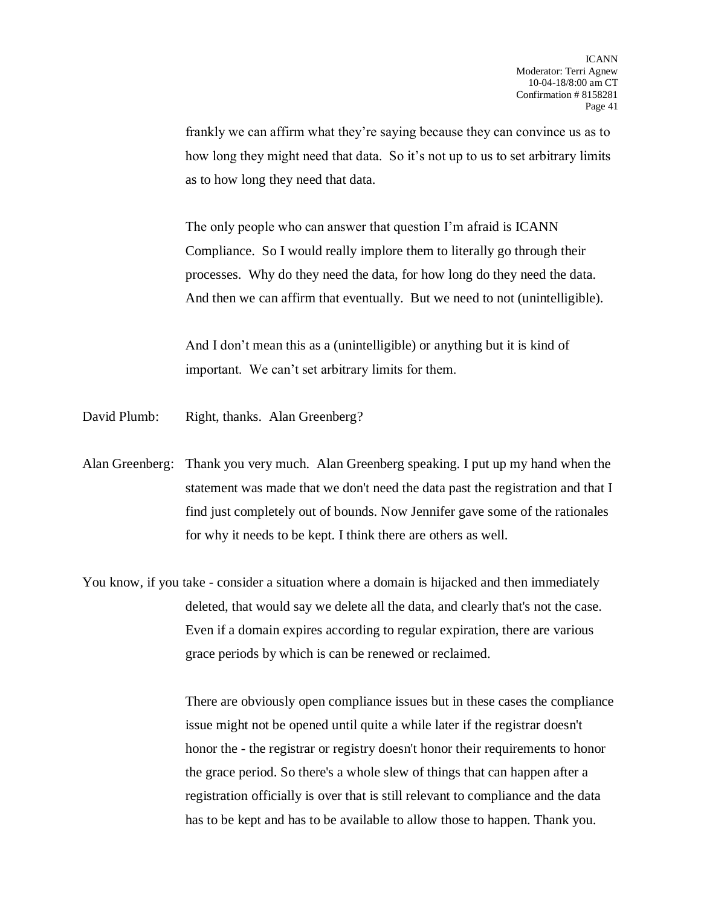frankly we can affirm what they're saying because they can convince us as to how long they might need that data. So it's not up to us to set arbitrary limits as to how long they need that data.

The only people who can answer that question I'm afraid is ICANN Compliance. So I would really implore them to literally go through their processes. Why do they need the data, for how long do they need the data. And then we can affirm that eventually. But we need to not (unintelligible).

And I don't mean this as a (unintelligible) or anything but it is kind of important. We can't set arbitrary limits for them.

- David Plumb: Right, thanks. Alan Greenberg?
- Alan Greenberg: Thank you very much. Alan Greenberg speaking. I put up my hand when the statement was made that we don't need the data past the registration and that I find just completely out of bounds. Now Jennifer gave some of the rationales for why it needs to be kept. I think there are others as well.
- You know, if you take consider a situation where a domain is hijacked and then immediately deleted, that would say we delete all the data, and clearly that's not the case. Even if a domain expires according to regular expiration, there are various grace periods by which is can be renewed or reclaimed.

There are obviously open compliance issues but in these cases the compliance issue might not be opened until quite a while later if the registrar doesn't honor the - the registrar or registry doesn't honor their requirements to honor the grace period. So there's a whole slew of things that can happen after a registration officially is over that is still relevant to compliance and the data has to be kept and has to be available to allow those to happen. Thank you.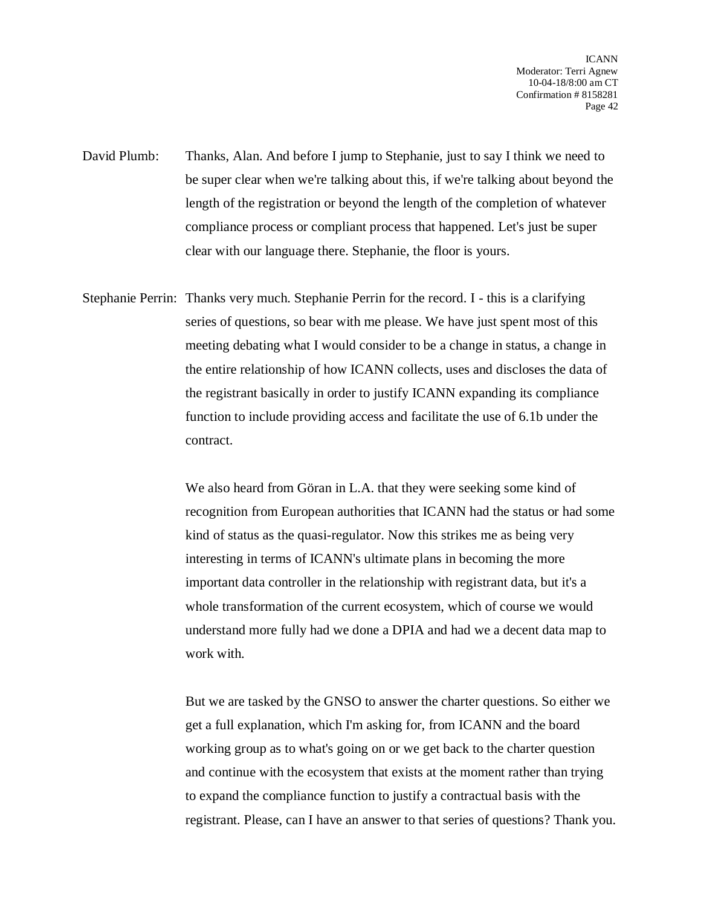ICANN Moderator: Terri Agnew 10-04-18/8:00 am CT Confirmation # 8158281 Page 42

David Plumb: Thanks, Alan. And before I jump to Stephanie, just to say I think we need to be super clear when we're talking about this, if we're talking about beyond the length of the registration or beyond the length of the completion of whatever compliance process or compliant process that happened. Let's just be super clear with our language there. Stephanie, the floor is yours.

Stephanie Perrin: Thanks very much. Stephanie Perrin for the record. I - this is a clarifying series of questions, so bear with me please. We have just spent most of this meeting debating what I would consider to be a change in status, a change in the entire relationship of how ICANN collects, uses and discloses the data of the registrant basically in order to justify ICANN expanding its compliance function to include providing access and facilitate the use of 6.1b under the contract.

> We also heard from Göran in L.A. that they were seeking some kind of recognition from European authorities that ICANN had the status or had some kind of status as the quasi-regulator. Now this strikes me as being very interesting in terms of ICANN's ultimate plans in becoming the more important data controller in the relationship with registrant data, but it's a whole transformation of the current ecosystem, which of course we would understand more fully had we done a DPIA and had we a decent data map to work with.

> But we are tasked by the GNSO to answer the charter questions. So either we get a full explanation, which I'm asking for, from ICANN and the board working group as to what's going on or we get back to the charter question and continue with the ecosystem that exists at the moment rather than trying to expand the compliance function to justify a contractual basis with the registrant. Please, can I have an answer to that series of questions? Thank you.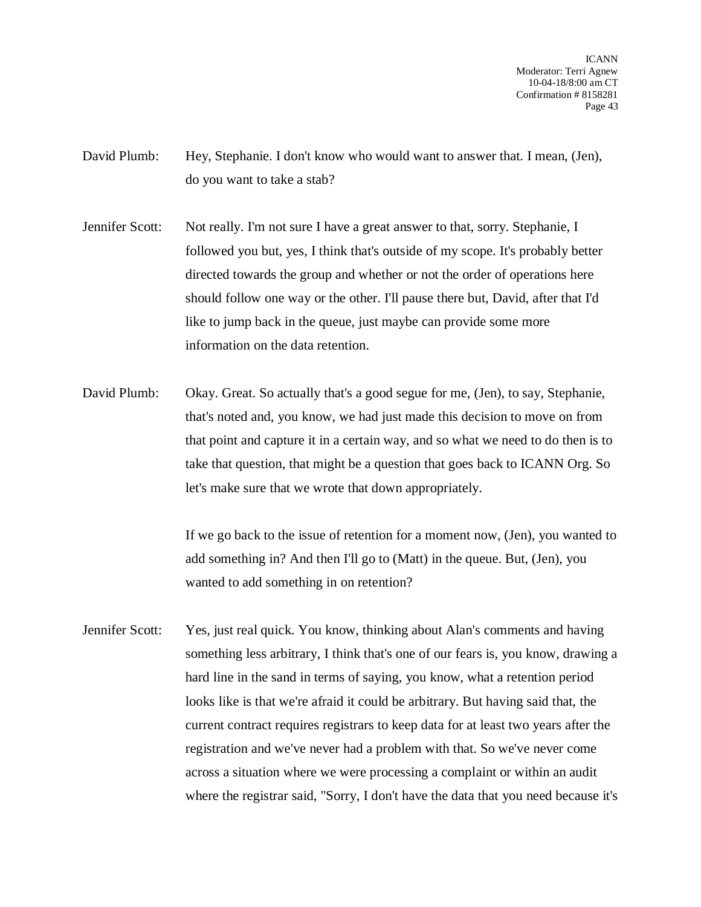ICANN Moderator: Terri Agnew 10-04-18/8:00 am CT Confirmation # 8158281 Page 43

- David Plumb: Hey, Stephanie. I don't know who would want to answer that. I mean, (Jen), do you want to take a stab?
- Jennifer Scott: Not really. I'm not sure I have a great answer to that, sorry. Stephanie, I followed you but, yes, I think that's outside of my scope. It's probably better directed towards the group and whether or not the order of operations here should follow one way or the other. I'll pause there but, David, after that I'd like to jump back in the queue, just maybe can provide some more information on the data retention.
- David Plumb: Okay. Great. So actually that's a good segue for me, (Jen), to say, Stephanie, that's noted and, you know, we had just made this decision to move on from that point and capture it in a certain way, and so what we need to do then is to take that question, that might be a question that goes back to ICANN Org. So let's make sure that we wrote that down appropriately.

If we go back to the issue of retention for a moment now, (Jen), you wanted to add something in? And then I'll go to (Matt) in the queue. But, (Jen), you wanted to add something in on retention?

Jennifer Scott: Yes, just real quick. You know, thinking about Alan's comments and having something less arbitrary, I think that's one of our fears is, you know, drawing a hard line in the sand in terms of saying, you know, what a retention period looks like is that we're afraid it could be arbitrary. But having said that, the current contract requires registrars to keep data for at least two years after the registration and we've never had a problem with that. So we've never come across a situation where we were processing a complaint or within an audit where the registrar said, "Sorry, I don't have the data that you need because it's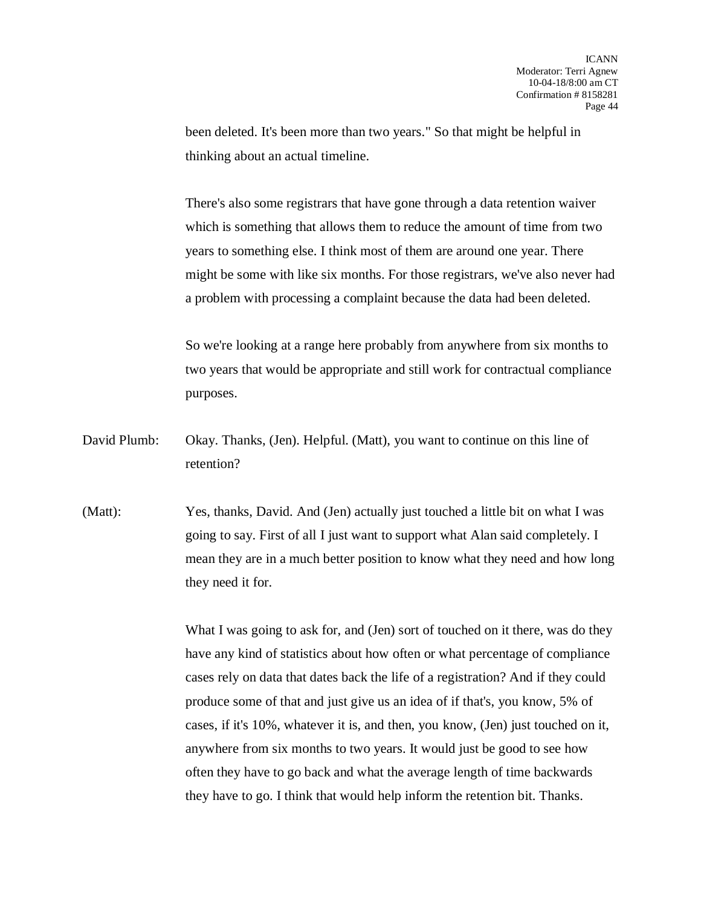been deleted. It's been more than two years." So that might be helpful in thinking about an actual timeline.

There's also some registrars that have gone through a data retention waiver which is something that allows them to reduce the amount of time from two years to something else. I think most of them are around one year. There might be some with like six months. For those registrars, we've also never had a problem with processing a complaint because the data had been deleted.

So we're looking at a range here probably from anywhere from six months to two years that would be appropriate and still work for contractual compliance purposes.

David Plumb: Okay. Thanks, (Jen). Helpful. (Matt), you want to continue on this line of retention?

(Matt): Yes, thanks, David. And (Jen) actually just touched a little bit on what I was going to say. First of all I just want to support what Alan said completely. I mean they are in a much better position to know what they need and how long they need it for.

> What I was going to ask for, and (Jen) sort of touched on it there, was do they have any kind of statistics about how often or what percentage of compliance cases rely on data that dates back the life of a registration? And if they could produce some of that and just give us an idea of if that's, you know, 5% of cases, if it's 10%, whatever it is, and then, you know, (Jen) just touched on it, anywhere from six months to two years. It would just be good to see how often they have to go back and what the average length of time backwards they have to go. I think that would help inform the retention bit. Thanks.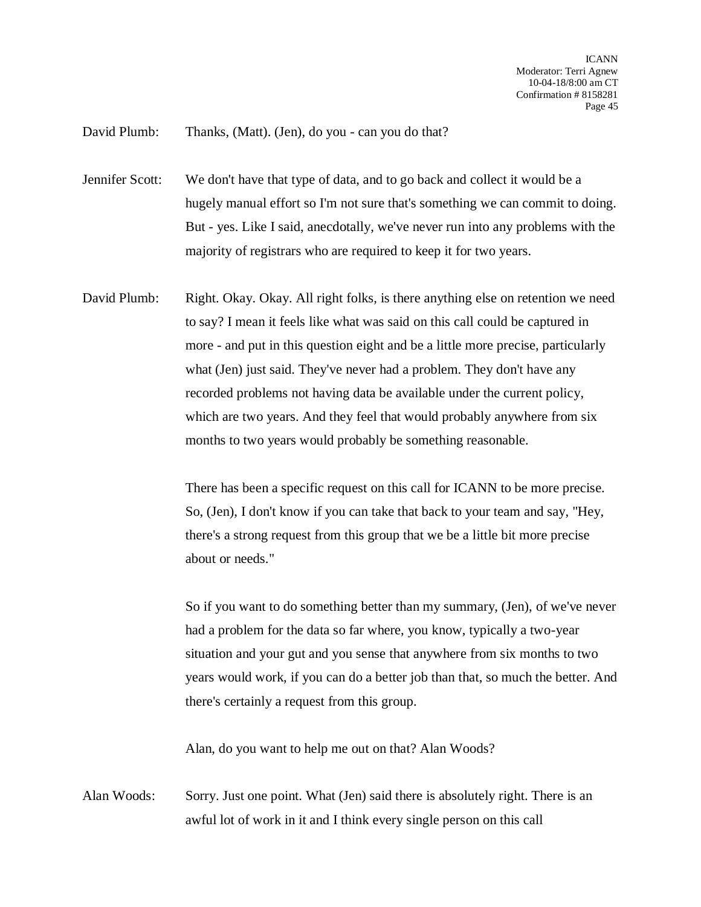## David Plumb: Thanks, (Matt). (Jen), do you - can you do that?

Jennifer Scott: We don't have that type of data, and to go back and collect it would be a hugely manual effort so I'm not sure that's something we can commit to doing. But - yes. Like I said, anecdotally, we've never run into any problems with the majority of registrars who are required to keep it for two years.

David Plumb: Right. Okay. Okay. All right folks, is there anything else on retention we need to say? I mean it feels like what was said on this call could be captured in more - and put in this question eight and be a little more precise, particularly what (Jen) just said. They've never had a problem. They don't have any recorded problems not having data be available under the current policy, which are two years. And they feel that would probably anywhere from six months to two years would probably be something reasonable.

> There has been a specific request on this call for ICANN to be more precise. So, (Jen), I don't know if you can take that back to your team and say, "Hey, there's a strong request from this group that we be a little bit more precise about or needs."

So if you want to do something better than my summary, (Jen), of we've never had a problem for the data so far where, you know, typically a two-year situation and your gut and you sense that anywhere from six months to two years would work, if you can do a better job than that, so much the better. And there's certainly a request from this group.

Alan, do you want to help me out on that? Alan Woods?

Alan Woods: Sorry. Just one point. What (Jen) said there is absolutely right. There is an awful lot of work in it and I think every single person on this call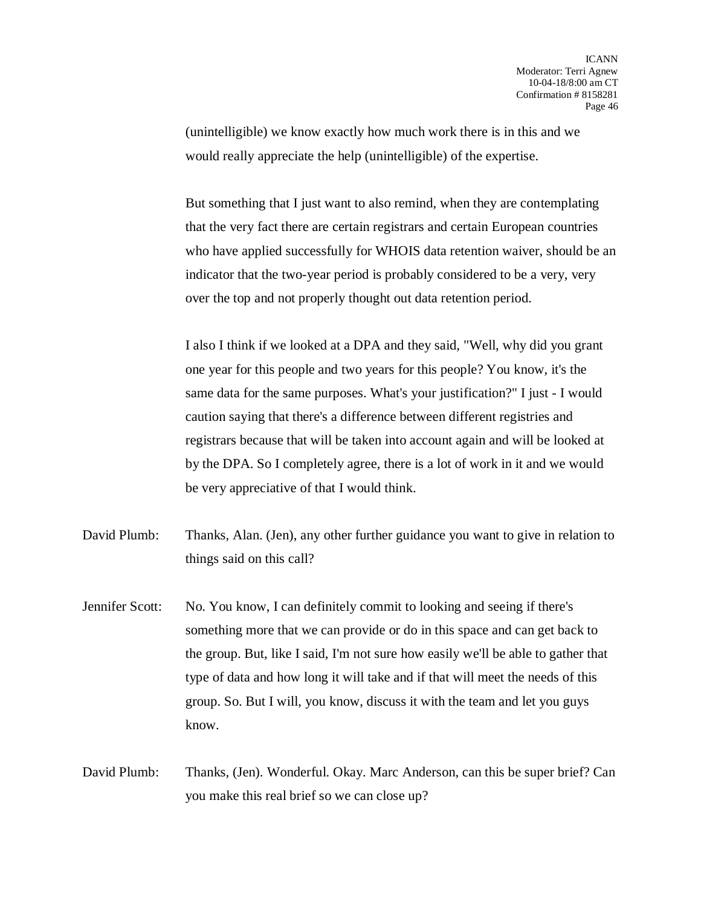(unintelligible) we know exactly how much work there is in this and we would really appreciate the help (unintelligible) of the expertise.

But something that I just want to also remind, when they are contemplating that the very fact there are certain registrars and certain European countries who have applied successfully for WHOIS data retention waiver, should be an indicator that the two-year period is probably considered to be a very, very over the top and not properly thought out data retention period.

I also I think if we looked at a DPA and they said, "Well, why did you grant one year for this people and two years for this people? You know, it's the same data for the same purposes. What's your justification?" I just - I would caution saying that there's a difference between different registries and registrars because that will be taken into account again and will be looked at by the DPA. So I completely agree, there is a lot of work in it and we would be very appreciative of that I would think.

- David Plumb: Thanks, Alan. (Jen), any other further guidance you want to give in relation to things said on this call?
- Jennifer Scott: No. You know, I can definitely commit to looking and seeing if there's something more that we can provide or do in this space and can get back to the group. But, like I said, I'm not sure how easily we'll be able to gather that type of data and how long it will take and if that will meet the needs of this group. So. But I will, you know, discuss it with the team and let you guys know.
- David Plumb: Thanks, (Jen). Wonderful. Okay. Marc Anderson, can this be super brief? Can you make this real brief so we can close up?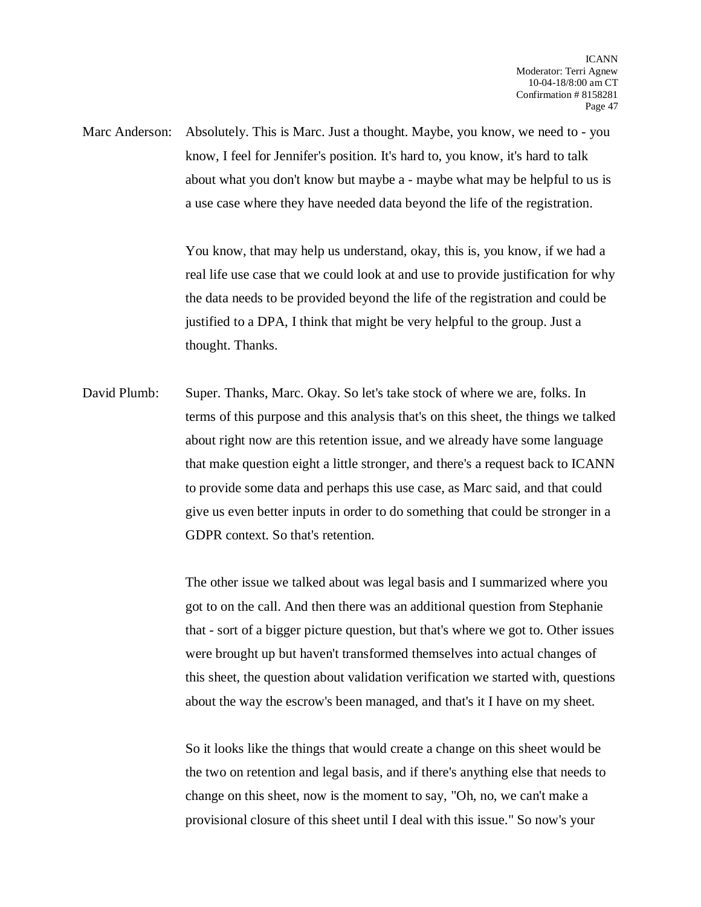Marc Anderson: Absolutely. This is Marc. Just a thought. Maybe, you know, we need to - you know, I feel for Jennifer's position. It's hard to, you know, it's hard to talk about what you don't know but maybe a - maybe what may be helpful to us is a use case where they have needed data beyond the life of the registration.

> You know, that may help us understand, okay, this is, you know, if we had a real life use case that we could look at and use to provide justification for why the data needs to be provided beyond the life of the registration and could be justified to a DPA, I think that might be very helpful to the group. Just a thought. Thanks.

David Plumb: Super. Thanks, Marc. Okay. So let's take stock of where we are, folks. In terms of this purpose and this analysis that's on this sheet, the things we talked about right now are this retention issue, and we already have some language that make question eight a little stronger, and there's a request back to ICANN to provide some data and perhaps this use case, as Marc said, and that could give us even better inputs in order to do something that could be stronger in a GDPR context. So that's retention.

> The other issue we talked about was legal basis and I summarized where you got to on the call. And then there was an additional question from Stephanie that - sort of a bigger picture question, but that's where we got to. Other issues were brought up but haven't transformed themselves into actual changes of this sheet, the question about validation verification we started with, questions about the way the escrow's been managed, and that's it I have on my sheet.

So it looks like the things that would create a change on this sheet would be the two on retention and legal basis, and if there's anything else that needs to change on this sheet, now is the moment to say, "Oh, no, we can't make a provisional closure of this sheet until I deal with this issue." So now's your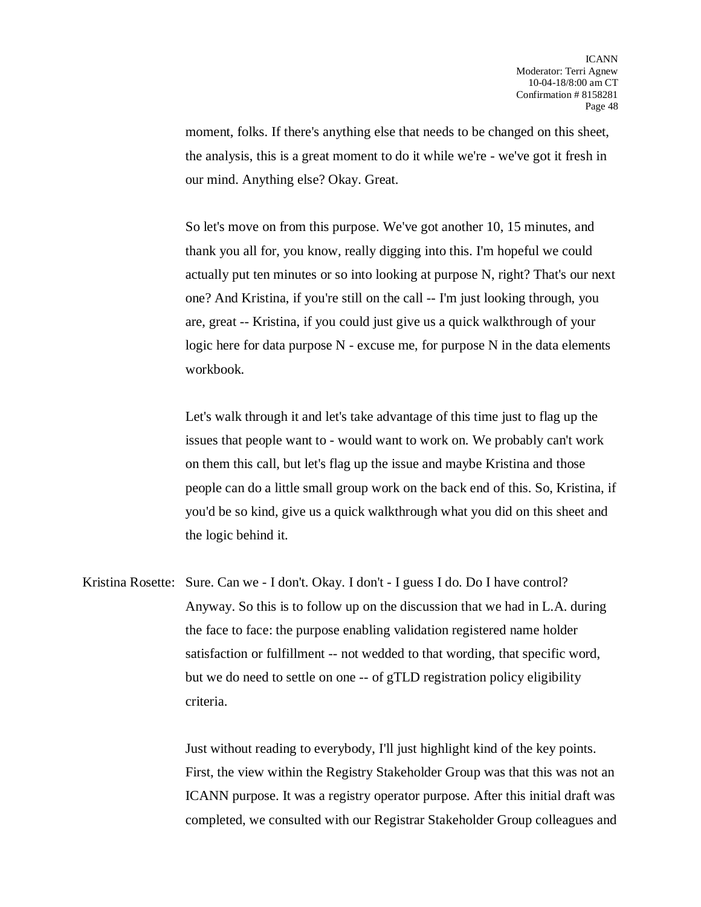moment, folks. If there's anything else that needs to be changed on this sheet, the analysis, this is a great moment to do it while we're - we've got it fresh in our mind. Anything else? Okay. Great.

So let's move on from this purpose. We've got another 10, 15 minutes, and thank you all for, you know, really digging into this. I'm hopeful we could actually put ten minutes or so into looking at purpose N, right? That's our next one? And Kristina, if you're still on the call -- I'm just looking through, you are, great -- Kristina, if you could just give us a quick walkthrough of your logic here for data purpose N - excuse me, for purpose N in the data elements workbook.

Let's walk through it and let's take advantage of this time just to flag up the issues that people want to - would want to work on. We probably can't work on them this call, but let's flag up the issue and maybe Kristina and those people can do a little small group work on the back end of this. So, Kristina, if you'd be so kind, give us a quick walkthrough what you did on this sheet and the logic behind it.

Kristina Rosette: Sure. Can we - I don't. Okay. I don't - I guess I do. Do I have control? Anyway. So this is to follow up on the discussion that we had in L.A. during the face to face: the purpose enabling validation registered name holder satisfaction or fulfillment -- not wedded to that wording, that specific word, but we do need to settle on one -- of gTLD registration policy eligibility criteria.

> Just without reading to everybody, I'll just highlight kind of the key points. First, the view within the Registry Stakeholder Group was that this was not an ICANN purpose. It was a registry operator purpose. After this initial draft was completed, we consulted with our Registrar Stakeholder Group colleagues and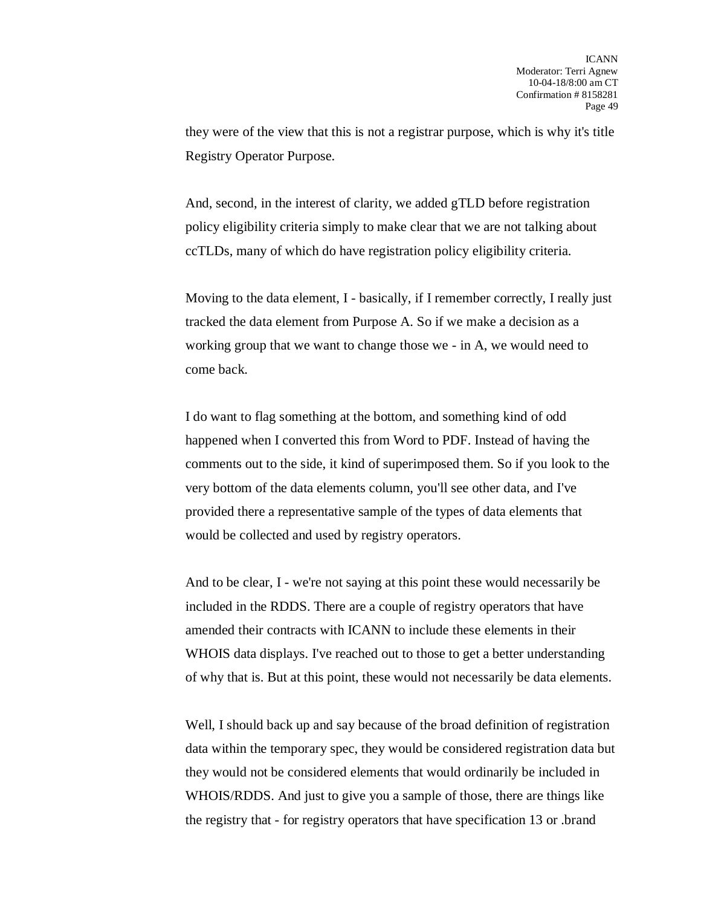they were of the view that this is not a registrar purpose, which is why it's title Registry Operator Purpose.

And, second, in the interest of clarity, we added gTLD before registration policy eligibility criteria simply to make clear that we are not talking about ccTLDs, many of which do have registration policy eligibility criteria.

Moving to the data element, I - basically, if I remember correctly, I really just tracked the data element from Purpose A. So if we make a decision as a working group that we want to change those we - in A, we would need to come back.

I do want to flag something at the bottom, and something kind of odd happened when I converted this from Word to PDF. Instead of having the comments out to the side, it kind of superimposed them. So if you look to the very bottom of the data elements column, you'll see other data, and I've provided there a representative sample of the types of data elements that would be collected and used by registry operators.

And to be clear, I - we're not saying at this point these would necessarily be included in the RDDS. There are a couple of registry operators that have amended their contracts with ICANN to include these elements in their WHOIS data displays. I've reached out to those to get a better understanding of why that is. But at this point, these would not necessarily be data elements.

Well, I should back up and say because of the broad definition of registration data within the temporary spec, they would be considered registration data but they would not be considered elements that would ordinarily be included in WHOIS/RDDS. And just to give you a sample of those, there are things like the registry that - for registry operators that have specification 13 or .brand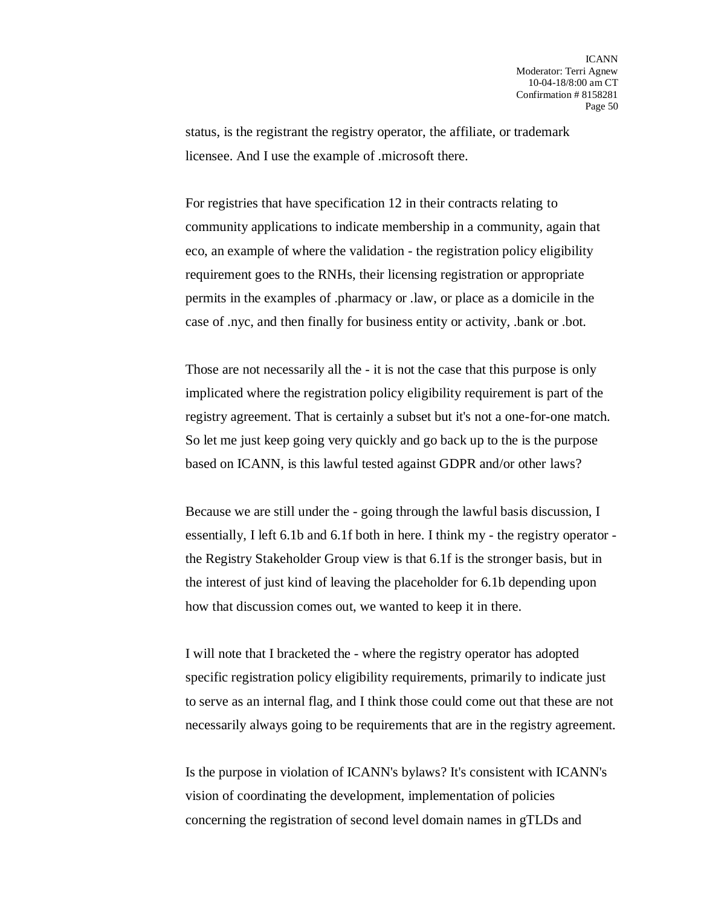status, is the registrant the registry operator, the affiliate, or trademark licensee. And I use the example of .microsoft there.

For registries that have specification 12 in their contracts relating to community applications to indicate membership in a community, again that eco, an example of where the validation - the registration policy eligibility requirement goes to the RNHs, their licensing registration or appropriate permits in the examples of .pharmacy or .law, or place as a domicile in the case of .nyc, and then finally for business entity or activity, .bank or .bot.

Those are not necessarily all the - it is not the case that this purpose is only implicated where the registration policy eligibility requirement is part of the registry agreement. That is certainly a subset but it's not a one-for-one match. So let me just keep going very quickly and go back up to the is the purpose based on ICANN, is this lawful tested against GDPR and/or other laws?

Because we are still under the - going through the lawful basis discussion, I essentially, I left 6.1b and 6.1f both in here. I think my - the registry operator the Registry Stakeholder Group view is that 6.1f is the stronger basis, but in the interest of just kind of leaving the placeholder for 6.1b depending upon how that discussion comes out, we wanted to keep it in there.

I will note that I bracketed the - where the registry operator has adopted specific registration policy eligibility requirements, primarily to indicate just to serve as an internal flag, and I think those could come out that these are not necessarily always going to be requirements that are in the registry agreement.

Is the purpose in violation of ICANN's bylaws? It's consistent with ICANN's vision of coordinating the development, implementation of policies concerning the registration of second level domain names in gTLDs and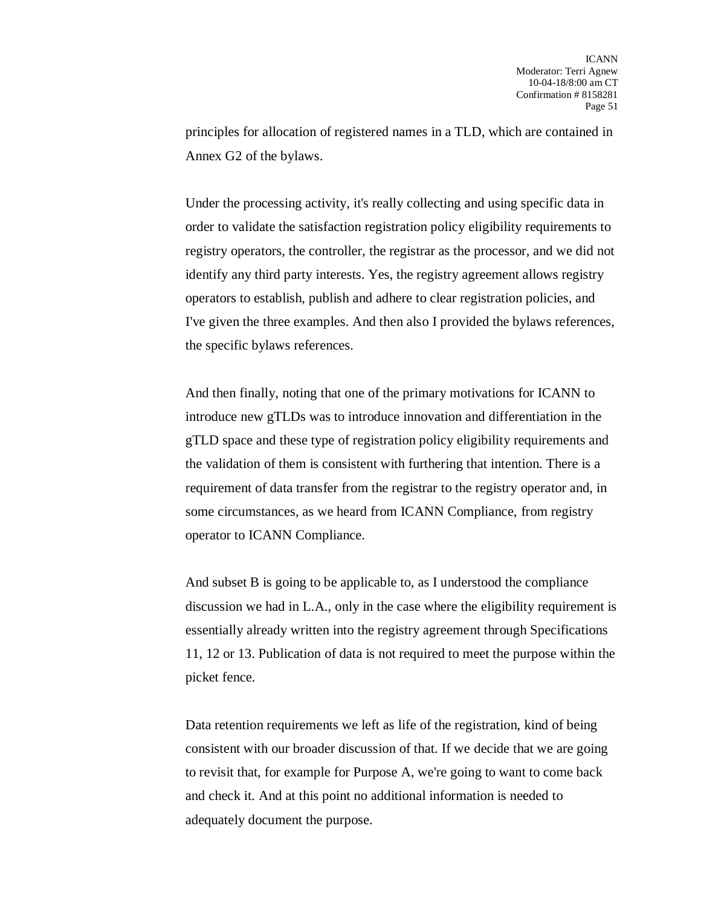principles for allocation of registered names in a TLD, which are contained in Annex G2 of the bylaws.

Under the processing activity, it's really collecting and using specific data in order to validate the satisfaction registration policy eligibility requirements to registry operators, the controller, the registrar as the processor, and we did not identify any third party interests. Yes, the registry agreement allows registry operators to establish, publish and adhere to clear registration policies, and I've given the three examples. And then also I provided the bylaws references, the specific bylaws references.

And then finally, noting that one of the primary motivations for ICANN to introduce new gTLDs was to introduce innovation and differentiation in the gTLD space and these type of registration policy eligibility requirements and the validation of them is consistent with furthering that intention. There is a requirement of data transfer from the registrar to the registry operator and, in some circumstances, as we heard from ICANN Compliance, from registry operator to ICANN Compliance.

And subset B is going to be applicable to, as I understood the compliance discussion we had in L.A., only in the case where the eligibility requirement is essentially already written into the registry agreement through Specifications 11, 12 or 13. Publication of data is not required to meet the purpose within the picket fence.

Data retention requirements we left as life of the registration, kind of being consistent with our broader discussion of that. If we decide that we are going to revisit that, for example for Purpose A, we're going to want to come back and check it. And at this point no additional information is needed to adequately document the purpose.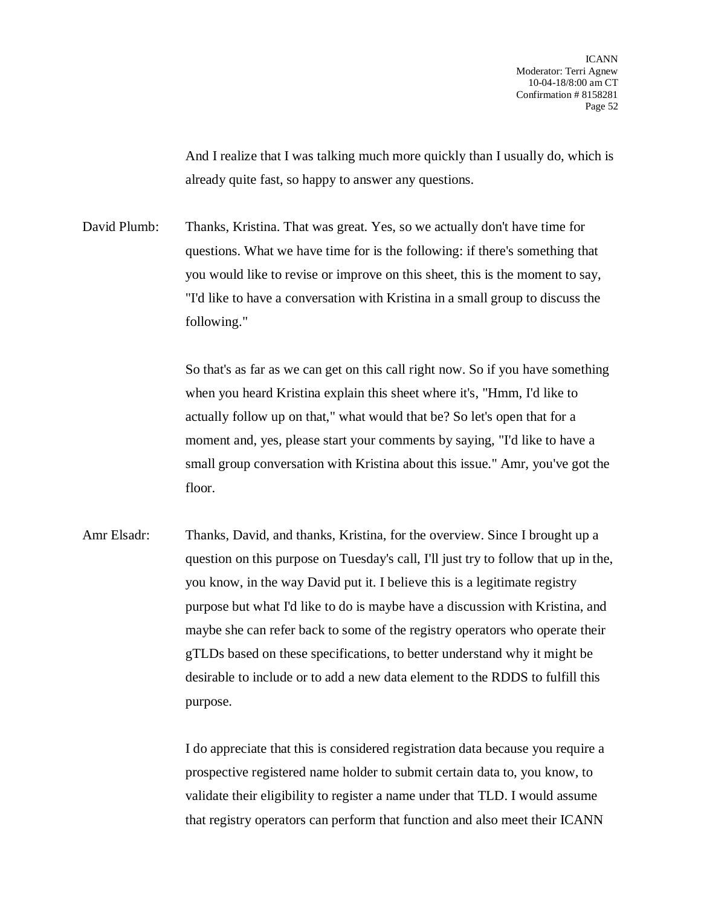And I realize that I was talking much more quickly than I usually do, which is already quite fast, so happy to answer any questions.

David Plumb: Thanks, Kristina. That was great. Yes, so we actually don't have time for questions. What we have time for is the following: if there's something that you would like to revise or improve on this sheet, this is the moment to say, "I'd like to have a conversation with Kristina in a small group to discuss the following."

> So that's as far as we can get on this call right now. So if you have something when you heard Kristina explain this sheet where it's, "Hmm, I'd like to actually follow up on that," what would that be? So let's open that for a moment and, yes, please start your comments by saying, "I'd like to have a small group conversation with Kristina about this issue." Amr, you've got the floor.

Amr Elsadr: Thanks, David, and thanks, Kristina, for the overview. Since I brought up a question on this purpose on Tuesday's call, I'll just try to follow that up in the, you know, in the way David put it. I believe this is a legitimate registry purpose but what I'd like to do is maybe have a discussion with Kristina, and maybe she can refer back to some of the registry operators who operate their gTLDs based on these specifications, to better understand why it might be desirable to include or to add a new data element to the RDDS to fulfill this purpose.

> I do appreciate that this is considered registration data because you require a prospective registered name holder to submit certain data to, you know, to validate their eligibility to register a name under that TLD. I would assume that registry operators can perform that function and also meet their ICANN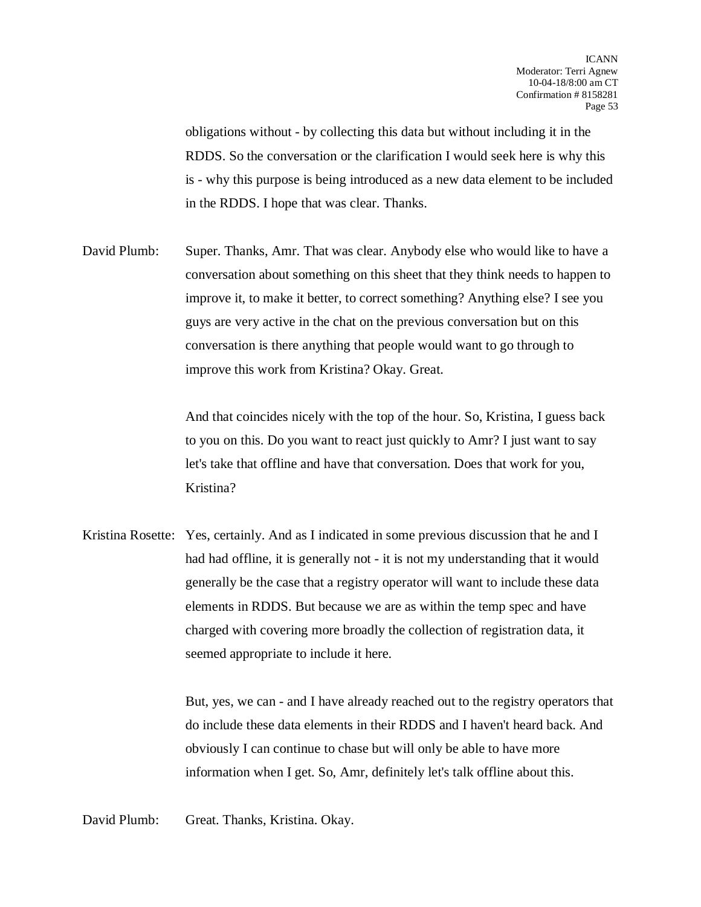obligations without - by collecting this data but without including it in the RDDS. So the conversation or the clarification I would seek here is why this is - why this purpose is being introduced as a new data element to be included in the RDDS. I hope that was clear. Thanks.

David Plumb: Super. Thanks, Amr. That was clear. Anybody else who would like to have a conversation about something on this sheet that they think needs to happen to improve it, to make it better, to correct something? Anything else? I see you guys are very active in the chat on the previous conversation but on this conversation is there anything that people would want to go through to improve this work from Kristina? Okay. Great.

> And that coincides nicely with the top of the hour. So, Kristina, I guess back to you on this. Do you want to react just quickly to Amr? I just want to say let's take that offline and have that conversation. Does that work for you, Kristina?

Kristina Rosette: Yes, certainly. And as I indicated in some previous discussion that he and I had had offline, it is generally not - it is not my understanding that it would generally be the case that a registry operator will want to include these data elements in RDDS. But because we are as within the temp spec and have charged with covering more broadly the collection of registration data, it seemed appropriate to include it here.

> But, yes, we can - and I have already reached out to the registry operators that do include these data elements in their RDDS and I haven't heard back. And obviously I can continue to chase but will only be able to have more information when I get. So, Amr, definitely let's talk offline about this.

David Plumb: Great. Thanks, Kristina. Okay.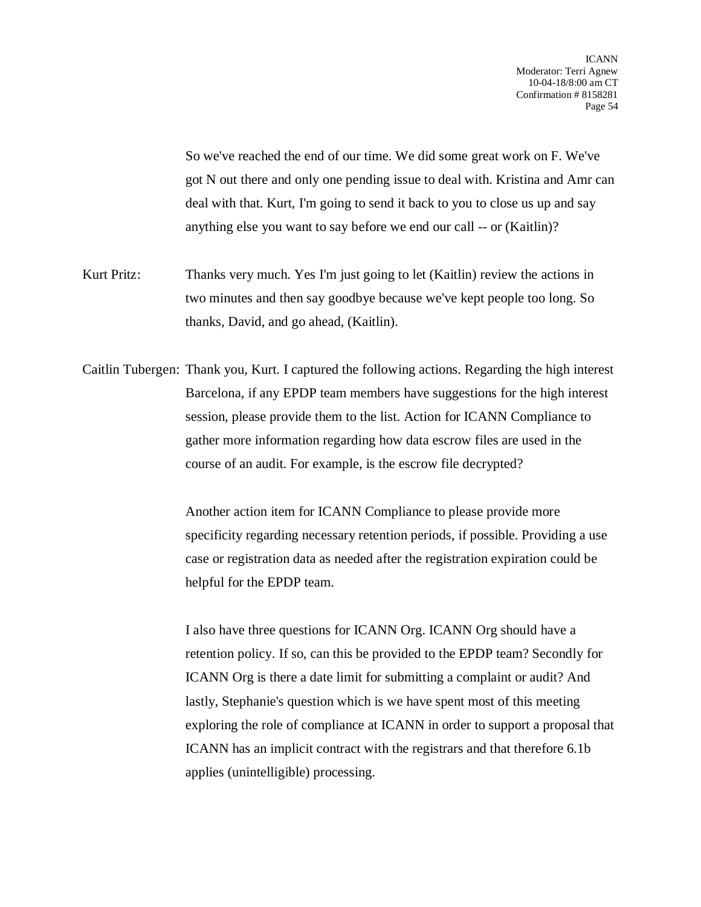So we've reached the end of our time. We did some great work on F. We've got N out there and only one pending issue to deal with. Kristina and Amr can deal with that. Kurt, I'm going to send it back to you to close us up and say anything else you want to say before we end our call -- or (Kaitlin)?

Kurt Pritz: Thanks very much. Yes I'm just going to let (Kaitlin) review the actions in two minutes and then say goodbye because we've kept people too long. So thanks, David, and go ahead, (Kaitlin).

Caitlin Tubergen: Thank you, Kurt. I captured the following actions. Regarding the high interest Barcelona, if any EPDP team members have suggestions for the high interest session, please provide them to the list. Action for ICANN Compliance to gather more information regarding how data escrow files are used in the course of an audit. For example, is the escrow file decrypted?

> Another action item for ICANN Compliance to please provide more specificity regarding necessary retention periods, if possible. Providing a use case or registration data as needed after the registration expiration could be helpful for the EPDP team.

I also have three questions for ICANN Org. ICANN Org should have a retention policy. If so, can this be provided to the EPDP team? Secondly for ICANN Org is there a date limit for submitting a complaint or audit? And lastly, Stephanie's question which is we have spent most of this meeting exploring the role of compliance at ICANN in order to support a proposal that ICANN has an implicit contract with the registrars and that therefore 6.1b applies (unintelligible) processing.